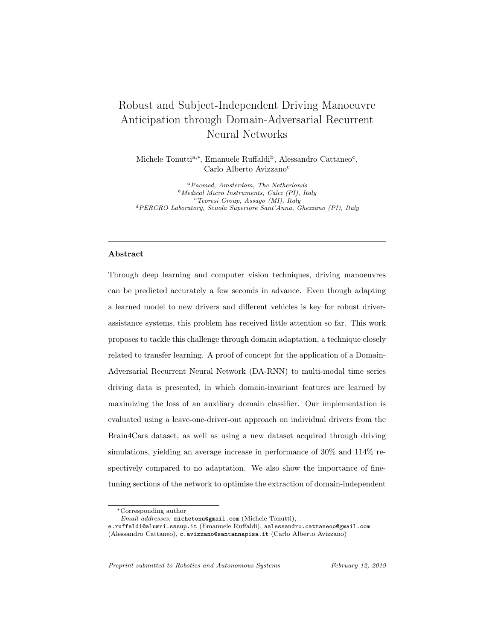# Robust and Subject-Independent Driving Manoeuvre Anticipation through Domain-Adversarial Recurrent Neural Networks

Michele Tonutti<sup>a,\*</sup>, Emanuele Ruffaldi<sup>b</sup>, Alessandro Cattaneo<sup>c</sup>, Carlo Alberto Avizzano<sup>c</sup>

<sup>a</sup>Pacmed, Amsterdam, The Netherlands  $b$ Medical Micro Instruments, Calci (PI), Italy  $c$ Teoresi Group, Assago (MI), Italy <sup>d</sup>PERCRO Laboratory, Scuola Superiore Sant'Anna, Ghezzano (PI), Italy

## Abstract

Through deep learning and computer vision techniques, driving manoeuvres can be predicted accurately a few seconds in advance. Even though adapting a learned model to new drivers and different vehicles is key for robust driverassistance systems, this problem has received little attention so far. This work proposes to tackle this challenge through domain adaptation, a technique closely related to transfer learning. A proof of concept for the application of a Domain-Adversarial Recurrent Neural Network (DA-RNN) to multi-modal time series driving data is presented, in which domain-invariant features are learned by maximizing the loss of an auxiliary domain classifier. Our implementation is evaluated using a leave-one-driver-out approach on individual drivers from the Brain4Cars dataset, as well as using a new dataset acquired through driving simulations, yielding an average increase in performance of 30% and 114% respectively compared to no adaptation. We also show the importance of finetuning sections of the network to optimise the extraction of domain-independent

Preprint submitted to Robotics and Autonomous Systems February 12, 2019

<sup>∗</sup>Corresponding author

Email addresses: michetonu@gmail.com (Michele Tonutti),

e.ruffaldi@alumni.sssup.it (Emanuele Ruffaldi), aalessandro.cattaneoo@gmail.com

<sup>(</sup>Alessandro Cattaneo), c.avizzano@santannapisa.it (Carlo Alberto Avizzano)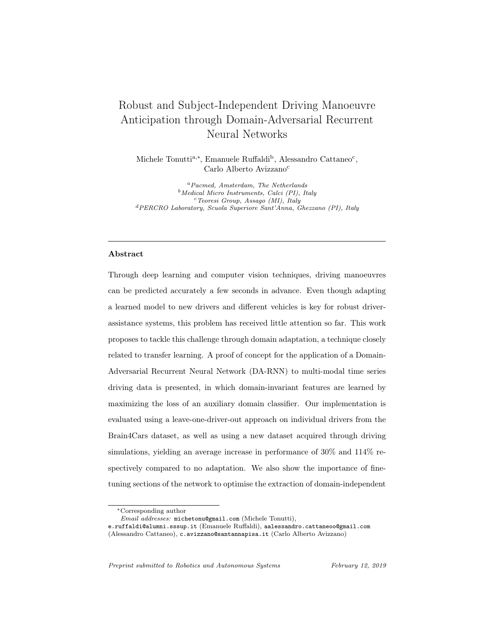features. The results demonstrate the applicability of the approach to driverassistance systems as well as training and simulation environments. Keywords: Manoeuvre anticipation, ADAS, Deep learning, LSTM, Recurrent neural networks, Domain adaptation

## 1. Introduction

With 1.3 million deaths and 30 million injuries occurring yearly worldwide, road traffic accidents are the main cause of death for people aged 15-29, and represent a cost to governments of, on average, 3% of national GDPs [1]. A high proportion of those accidents occur during manoeuvres such as changing lanes and turning [2]. Advanced Driver Assistance Systems (ADAS) aim at increasing road safety by taking partial control of the car or by providing the driver with extra information when such manoeuvres could be dangerous [3]. It has been demonstrated that, thanks to recent developments in deep learning and computer vision, it is possible to predict manoeuvres a few seconds in advance and with high accuracy, by monitoring the driver's behaviour inside the vehicle and using information from the car itself (e.g. speed) and the environment (lanes configuration, presence of intersections, etc.). In particular, advances in Convolutional Neural Networks (CNN) now allow accurate extraction of head-, face-, and gaze-related features from videos [4, 5], while Recurrent Neural Networks (RNN) enable the models to take into account the temporality of an action, i.e. the order in which certain actions are performed or specific events occur [6]. However, while most recent proof-of-concept models for manoeuvre anticipation have achieved good results, little attention has been given to the problems arising from the practical implementation of such systems. One of the main concerns is their ability to generalise on subjects that were not part of the original training set. In real world applications, it is likely that ADAS installed on commercial cars will be "blind" to the driving style of new subjects. Re-training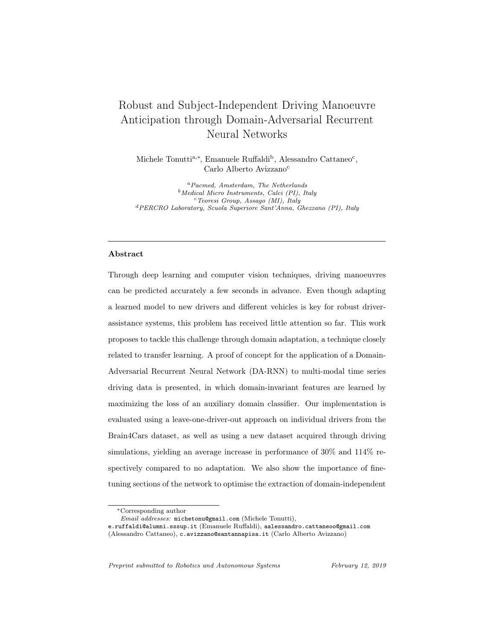such systems may not feasible due to the lack of labelled examples for a new driver. While there are examples of deep neural networks trained to anticipate actions and objects in videos through unsupervised learning [7], most of the examples found in literature are not able to learn temporal relationships between features, or work exclusively with video inputs [8]. This is a problem in manoeuvre anticipation tasks, since it has been demonstrated that multi-modal inputs and the temporality of events are crucial to obtain quick and accurate predictions. Moreover, if they are not re-trained, classic deep neural networks tend to not generalize well when features in the test and training sets have different marginal distributions. Examples could include cases in which the driver has peculiar driving habits or mobility limitations, so that, for instance, they cannot turn their head fully. It is however plausible to assume that there exist common patterns and latent features in the actions of most drivers which are common regardless of the vehicle, driving style, or situation [9].

ff This assumption represents the basis of domain adaptation, a type of transfer learning technique which enables previously trained models to adapt to other datasets containing unlabelled observations [10]. Amongst the various approaches, domain adaptation applied to deep neural networks has been proven to be extremely effective to learn domain-invariant features from the input data even when the labels of the target distribution are unknown [11]. This enticing result is obtained by optimising a discriminative classifier while simultaneously maximising the loss of an auxiliary domain classifier. This technique has been proven to work not only with image inputs, but also with time-series observations [12]. Using this method, we hypothesize that a model can be trained to find features in sequential input data which are not only discriminative of specific manoeuvres, but also shared between the training set (large and labelled) and a fully or mostly unlabelled small test set - such as video segments of a new driver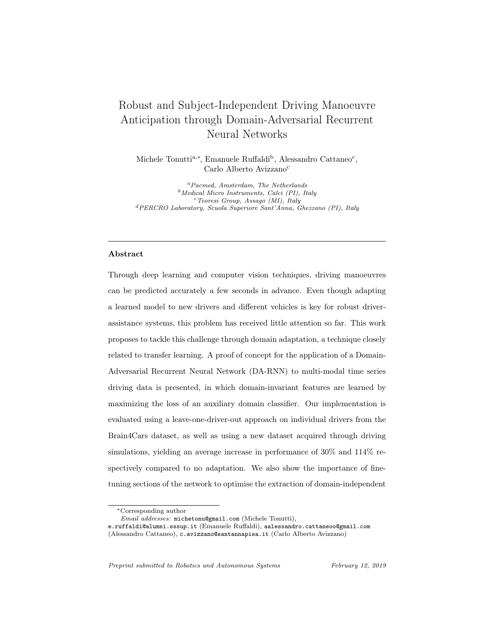performing unknown manoeuvres. Finding such latent features may, however, be difficult when the inputs are multi-modal time-series. This type of input is common in state-of-the-art manoeuvre anticipation models, which integrate the driver's behaviour with information from the vehicle and the environment - such as lane configuration, car speed, and GPS data [13]. The network does not only need to learn the dependencies within a single time-series, but also across input sequences with possibly very different resolution (sparse vs. dense) or even data types (e.g. categorical vs. continuous). An effective sensory fusion approach is therefore required.

## 1.1. Aim

Given the problem of adaptation and generalization capabilities of multimodal models for driver-assistance systems, we present an investigation of the application of the domain-adversarial training method to implement domain adaptation on a Recurrent Neural Network for manoeuvre anticipation. More generally, this paper proposes domain adaptation as a promising approach to improve the performance and generalization ability of machine-learning-driven ADAS. We aim at showing that domain-adversarial models are particularly beneficial in situations where either the drivers or the driving settings –or both– may differ considerably to those used to train the model.

## 1.2. Method and Structure

In order to evaluate our approach, we designed three experiments, which are introduced in the following paragraphs and discussed more in depth in Section 6. Before presenting the results of the experimental work, we provide a bibliographical review of the most recent published work on action prediction, maneuver anticipation, and domain adaptation. We then present a technical overview on Recurrent Neural Networks. Finally, we describe the architecture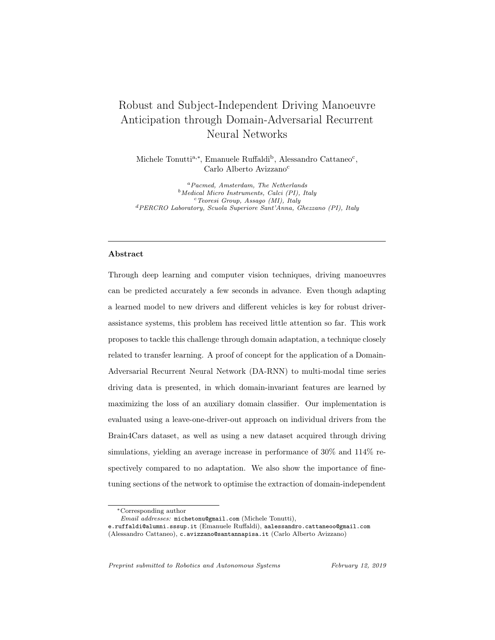of our models and the most salient features of both the Brain4Cars and our own dataset, including a detailed explanation of the data collection process. The experimental set-ups consist of the following:

Experiment 1 We first propose an expansion of the architecture proposed by Jain et al. [13] (Brain4Cars), which includes the driver's gaze as an additional input, features a higher number of stacked recurrent layers, and performs enhanced sensory fusion by combining Long Short Term Memory (LSTM) and Gated Recurrent Unit (GRU) layers, amongst other improvements. We replicate the experiments presented in the original paper, training and testing the LSTM-GRU model on the Brain4Cars dataset using simple 5-fold cross-validation. This experiment is aimed at showing that the performance of our architecture is comparable to state-of-the-art models for maneuver anticipation in non-adaptive tasks. Additionally, we also test the model on a new set of driving videos obtained using an immersive virtual simulation setup, providing a performance baseline upon which to evaluate the results of the subsequent experiments.

Experiment 2 We then present a Domain-Adversarial RNN, inspired by Ganin et al. [11], in which our LSTM-GRU network from Experiment 1 serves as the feature extractor. We train and test the DA-RNN using a cross-validated, leave-one-driver-out approach on individual drivers from the Brain4Cars dataset, comparing its performance to the non-domain-adaptive LSTM-GRU trained without the target driver.

Experiment 3 Finally, we implement the same domain-adversarial approach to study how the network, trained only on the Brain4Cars data, adapts to our new dataset, in which the drivers and the driving set-up  $-e.g.$  position of the mirrors, windows, and the camera– differ from the Brain4Cars dataset.

The results confirm that, without adaptation, the model is not able to predict manoeuvres from observations in which the features have very different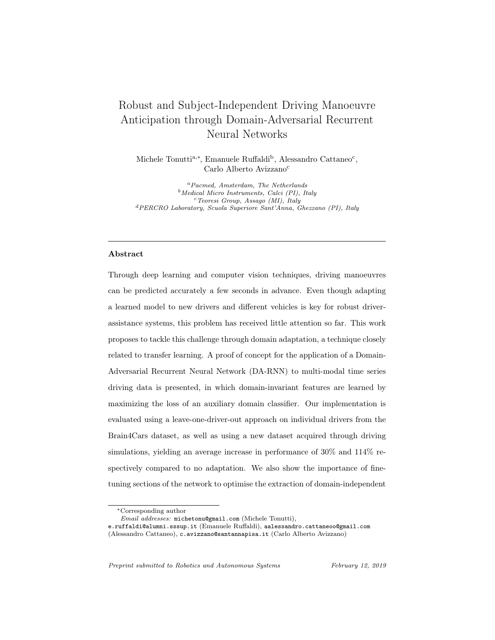marginal distributions compared to the training set. We conclude discussing the potential applications of the domain-adversarial approach to apply domain adaptation in commercial ADAS, driving training set-ups, and simulation environments.

The crucial contributions of this work can thus be summarised as follows:

- An improved LSTM-GRU Neural Network architecture for manoeuvre anticipation.
- An original dataset of observations from a driving simulation setup.
- A proof of concept for the application of a Domain-Adversarial RNN for domain adaptation on driving data, which employs the LSTM-GRU architecture to classify observations from the new dataset.

# 2. Related Work

The majority of studies relying on driving data do not concern themselves with the adaptation of the system to different datasets or their ability to perform well on new drivers; those who aim at anticipating manoeuvres are not an exception. Samples from all test subjects are often shuffled together before the training-test split [13]: while this enhances a classifier's performance, it will likely cause it not to generalise and scale well in real-world applications. Once an ADAS is installed on a car, it will have been trained on a large number of drivers, but there is no guarantee that it will work well with a completely new subject without re-training. In this work we tackle this problem by applying the domain-adversarial training technique to encourage a Recurrent Neural Network to adapt to a smaller, unlabelled sets of driving data in which the features may have different marginal distributions. To obtain meaningful results we also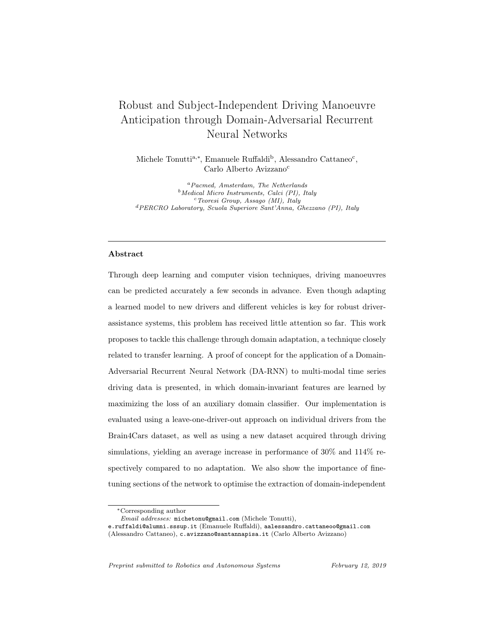decided to design an improved model for manoeuvre anticipation, addressing some of the shortcomings of previous work. In this section we provide a brief survey on the most recent research on action prediction and manoeuvre anticipation, as well as on the latest techniques in the area of domain adaptation, with special focus on those applied to deep learning and sequential data. For an in-depth review of the general field of domain adaptation, we suggest the papers by Jiang [14] and Patel et al. [15]

## 2.1. Action Prediction

Predicting future actions differs from simple classification tasks, in that the aim is to anticipate an event with as little data as possible. One way to do this practically is by setting a threshold, processing the data at each time-step of an input sequence of observations, and only making a prediction when the probability of the corresponding output is above that threshold. To do so, a network needs to be able to remember past states and observations within a single time-series, in order to learn the temporal relations between latent features in that sequence. Most recent examples of action anticipation models do this by using LSTM- or GRU-based architectures [16, 17, 18, 19]. LSTMs and GRUs are specific types of RNN units which are able to remember and forget previous states through a number of modulating gates [20, 21]. They have been proven to solve the problem of vanishing gradients, which affects heavily "vanilla" recurrent networks, and thus are able to perform very well with long time series [22]. This aspect makes them more suitable to process sequential observations than regressive models such as Gaussian Mixtures and non-recurrent Neural Networks, or Hidden Markov Models (HMMs), which assume that each observation's probability only depends on the current state and are thus not suitable for modelling contextual effects and long sequences [8]. Despite these shortcomings, HMMs have been shown to produce promising results, especially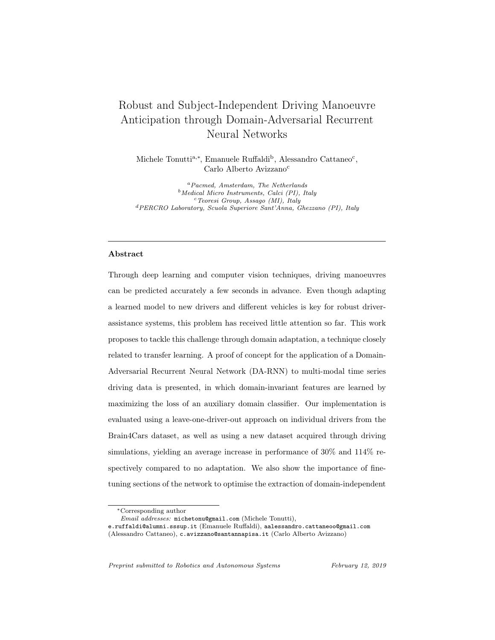compared to approaches that do not employ deep learning [13]; they could therefore provide an excellent alternative in cases where the high computational requirements of RNNs cannot be met, for instance in mobile applications. A further improvement on the HMM approach is represented by Markov Decision Processes, which have been shown to provide reliable and accurate predictions for long-term driving risk inference [23].

In order to make predictions within a few time-steps, rather than simply classifying an action when the whole sequence has been processed, a recent trend has been to implement custom loss functions which exponentially increase with time. Later classification mistakes are penalised more heavily than earlier ones: the model is thus encouraged to provide a confident prediction as soon as possible. In multi-class tasks such as manoeuvre anticipation, these functions are often modifications to the standard cross-entropy loss. Aliakbarian et al. [24] included this type of time-dependent loss in a multi-stage LSTM architecture that manages to predict actions accurately with only a small percentage of video sequences, by learning context- and action-related features independently. Chan et al. [25] used the exponential loss only for positive examples in a binary classification task to predict driving accidents, also including it in a LSTM-based RNN.

## 2.2. Manoeuvre Anticipation

Models for manoeuvre anticipation are similar to those for action prediction; the differences are the specificity of the subject's movements (mostly head and eyes) and the type of contextual information obtained from the environment. At the time of writing, the most recent and possibly complete approach to anticipate driving manoeuvres has been proposed by Jain et al. [13] (Brain4Cars). Their model implements an LSTM-based architecture with high-level sensory fusion to process multi-modal observations, using facial landmarks, head pose,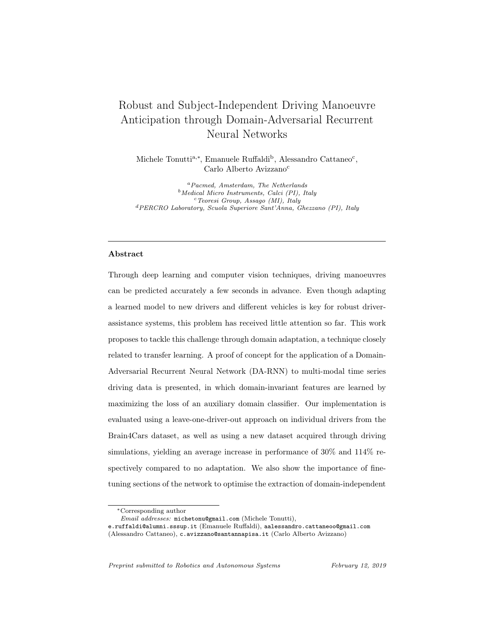car speed, GPS information and lane configuration. An exponential loss function was also included, which was proven not only to successfully encourage early predictions, but also to act as a regulariser. In addition, they provided a complete dataset of driving videos, showing the driver and the outside environment in the few seconds before turns and lane changes. Because of Brain4Cars' promising results, in this work we used their architecture and dataset respectively as benchmark and for evaluation purposes.

An area of improvement identified by the Brain4Cars team lies in the addition of eye tracking information to the model's inputs. Gaze direction, in fact, has been shown to generally correlate with the direction of the subsequent movement [26, 27, 28, 29]. Including gaze direction as an additional feature vector is particularly important in the context of manoeuvre anticipation: eye movements to look in the mirrors or at objects on the road may not necessarily be accompanied by a movement of the head, but may provide information about the direction of a consequent manoeuvre. It has been argued that the choice not to implement it is justified by the difficulty of obtaining accurate measurements of gaze direction without using specialised hardware [13]. Fletcher and Zelinksy [30], for instance, successfully implemented an ADAS which analyzes driver inattentiveness using gaze tracking, and Ravichandar et al. [8] used prior probabilities based on the eye gaze to enhance the accuracy of their actionprediction model; both works were carried out using ad-hoc tracking cameras. However, recent studies have shown that it is in fact possible to estimate gaze direction accurately from videos captured by regular high definition cameras [31, 32].

While it is clear that eye tracking may provide additional benefits to infer the intentions of a driver, adding additional sensors to the model requires optimal sensory fusion in order for deep networks to perform well [33]. Indeed, a share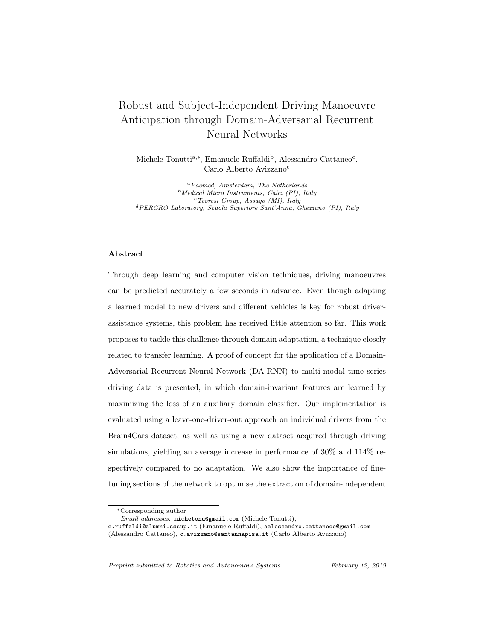of the recent literature has focused on improving the integration of the multimodal data coming from both inside and outside of the car. For instance, Doshi et al. [34] used a relevant vector machine (RVM) model to detect lane-change intent; they exploit the ability of the RVM to obtain a sparse data representation of the dataset, thus performing sensory fusion by automatically choosing discriminating features from multi-modal signals. Tawari et al. [35] developed a "Merge and Lane Change Assist" system in which sensory fusion is achieved by encoding all constraints (spatial, temporal, as well as legal) into a compact probabilistic representation [36]. Jain et al. [13] used a solution similar to those proposed by Sung et al. [37] as well as Yang and Eisenstein [38], which is not to join the features before feeding them to the network, but rather to concatenate their high-level representations through learnable layers of the neural network. This is a very simple and scalable solution that only requires simple modifications to the architecture of the network.

#### 2.3. Domain Adaptation

Domain adaptation is a type of transfer learning where two domains (source and target) share their feature space but have different marginal distributions [12]. It attempts to solve the issue of enabling a model trained on a certain dataset (source domain) to perform well on a differently distributed dataset, of which the labels are completely or partially unknown [9]. This problem has been investigated in computer vision [39, 40, 41] and natural language processing [42] using a variety of different approaches to reduce the discrepancy between the two domains, including alignments of the subspaces [41], parameter augmentation [43], domain-invariant projection [44], and instance re-weighting [45]. Purushotham et al. [12] point out that these techniques are not able to capture the temporal dependencies in sequential data, and those which do (for instance through a Bayesian approach [46] or RNNs [47]), cannot accurately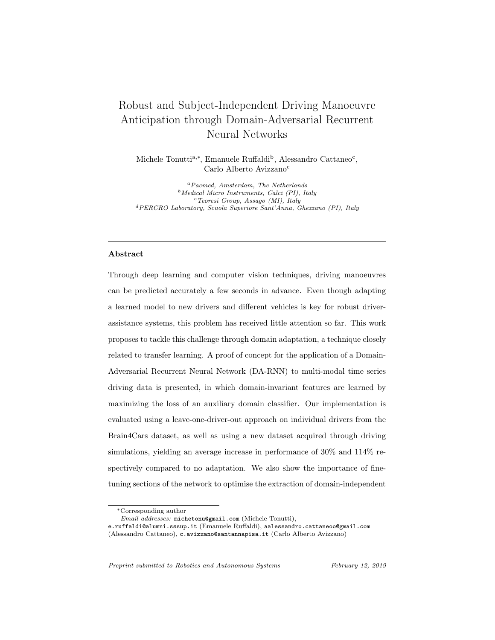infer non-linear relationship. Deep learning approaches, on the other hand, have proven successful in capturing time dependencies and complex, non-linear, domain-invariant relationships through domain adaptation. Examples include marginalised denoising autoencoders [48], ad-hoc CNN architectures [49], and feature embeddings [50].

Out of the deep learning approaches, one of the most elegant and easy-toimplement solutions is the Domain-Adversarial Neural Network (DANN), developed by Ganin et al. [11]. DANNs perform domain adaptation by learning domain-invariant features through a neural network architecture composed of three sections: a feature extractor, a discriminative classifier, and an adversarial domain classifier, whose loss is maximised through a special gradient reversal layer. The domain classifier's role is to encourage the feature extractor to find latent representations of the features which are domain-invariant [12]. In particular, this type of domain adaptation aims at creating a common subspace for the source and target domains, so that the trained model can classify examples from the target domain without having access to the labels of the target's training set [11]. The ability to adapt in an unsupervised manner is particularly appealing for manoeuvre anticipation models, as it would allow them to generalise well to new drivers simply by retraining them using a set of unlabelled driving videos as the target domain. While this method has been originally carried out using a CNN for the feature extraction stage, Purushotam et al. applied the technique of adversarial training on a RNN (R-DANN) and a variational RNN (VRADA), in order to capture temporal relationships from one domain to the other [12]. Our paper introduces the same concept applied to manoeuvre anticipation, expanding on the simpler R-DANN architecture and using an LSTM-GRU network as the feature extractor.

Lastly, since finding domain-invariant features in multi-modal time series can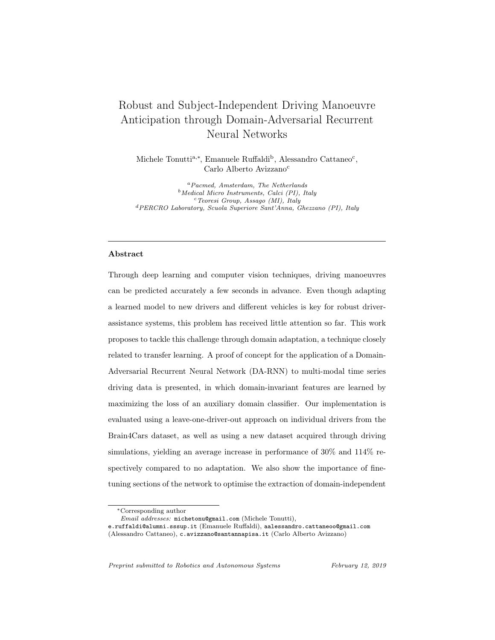be challenging and computationally expensive, it has been suggested that finetuning the feature extractor section on the source dataset can yield to an improved performance without sacrificing domain invariance [51, 11]. This has been shown to be effective even in non-adaptive cases of time-dependent features [24], and its application to the manoeuvre anticipation problem will also be demonstrated in this paper.

#### 3. Model for Manoeuvre Anticipation

In order to apply the domain-adversarial approach to manoeuvre anticipation, we first propose an improved RNN architecture based on LSTMs and another closely-related type of gated layer, the GRU. Both prevent the gradient of the loss function from either vanishing or exploding during backpropagation thanks to the activation functions of the layers' gates, which are learnable and create sums of activations over which the derivatives can distribute [13, 52]. The gradient can thus propagate for a long time, allowing long time-series to be processed. Before illustrating our model, we provide a brief explanation of these two layers.

# 3.1. LSTM and GRU



Figure 1: Diagrams of Long Short-Term Memory (LSTM) and Gated Recurrent Unit (GRU).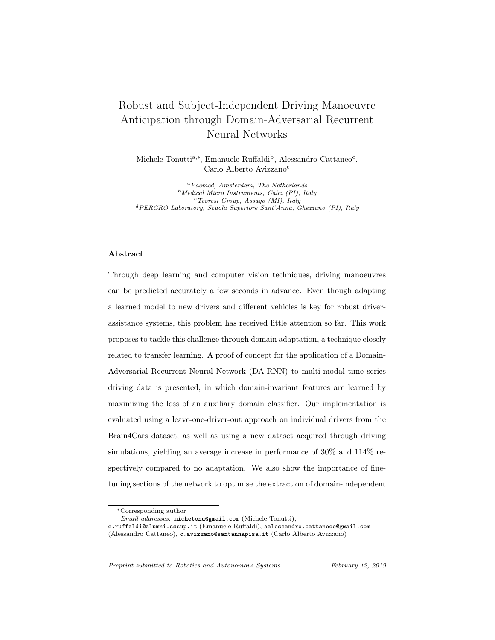The structure of a typical LSTM can be seen in Fig.1a. It consists of a memory cell  $(c)$ , which allows information to be accumulated over long sequences, and three gates. The forget gate  $(f)$  controls how the information in the memory cell is updated, deleted, or stored; the input gate  $(i)$  takes in current observations and writes new values to the memory cell; and the output gate  $(o)$ computes the hidden output based on the content stored in the memory cell [52]. At every time-step  $t$  of a time-series observation, the operations are computed in the following order: the activations of the input  $(i_t)$  and forget gates  $(f_t)$ are calculated, and the memory cell is updated  $(c_t)$ . Subsequently, the output of the cell is finally produced as a hidden representation  $(h_t)$  depending on the activation function of the output gate  $(o_t)$ . The inputs into each unit are the observations  $(x_t)$ , the previous cell state  $c_{t-1}$ , and the output  $h_{t-1}$  from the LSTM at  $t - 1$  [13]. The process is defined by the following equations:

$$
\boldsymbol{i}_{t} = \tanh(\boldsymbol{W}_{xi}x_{t} + \boldsymbol{W}_{hi}h_{t-1} + \boldsymbol{W}_{ci}\boldsymbol{c}_{t-1} + \boldsymbol{b}_{i})
$$
\n(1)

$$
\mathbf{f}_t = \sigma(\mathbf{W}_{xf}x_t + \mathbf{W}_{hf}h_{t-1} + \mathbf{W}_{cf}\mathbf{c}_{t-1} + \mathbf{b}_f)
$$
\n(2)

$$
\boldsymbol{o}_t = \tanh(\boldsymbol{W}_{xo}x_t + \boldsymbol{W}_{ho}h_{t-1} + \boldsymbol{W}_{co}\boldsymbol{c}_{t-1} + \boldsymbol{b}_o) \tag{3}
$$

$$
\mathbf{c}_t = \mathbf{f}_t \odot \mathbf{c}_{t-1} + \mathbf{i}_t \odot \tanh(\mathbf{W}_{xc}\mathbf{x}_t + \mathbf{W}_{hc}\mathbf{h}_{t-1} + \mathbf{b}_c) \tag{4}
$$

$$
\boldsymbol{h}_t = \boldsymbol{o}_t \ \odot \ \tanh(\boldsymbol{c}_t) \tag{5}
$$

where  $W_*$  are the weights and  $b_*$  the biases.  $\odot$  is the Hadamart product, also known as element-wise or point-wise vector product. [53, 13].

The GRU, pictured in Fig.1b, is similar to the LSTM, but is lacking the memory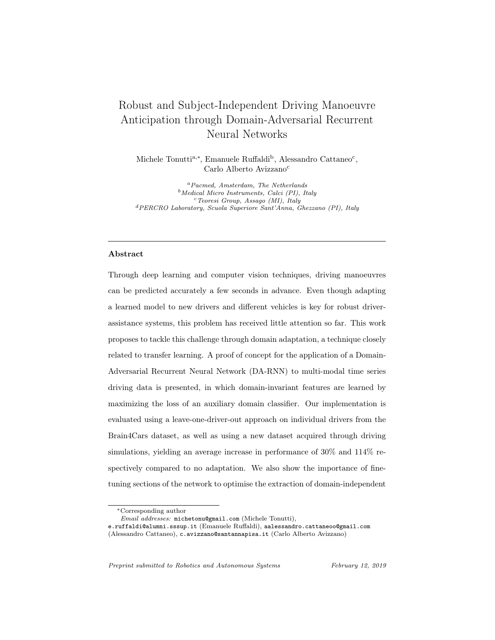cell and the output gate [54]. It is defined by the following equations:

$$
r_t = \sigma(W_{xr}x_t + W_{hr}h_{t-1} + b_r)
$$
\n<sup>(6)</sup>

$$
z_t = \sigma(W_{xz}x_t + W_{hz}h_{t-1} + b_z)
$$
\n<sup>(7)</sup>

$$
\boldsymbol{h}_t = \tanh(\boldsymbol{W}_{xh}x_t + \boldsymbol{W}_{hh}(\boldsymbol{r}_t \odot \boldsymbol{h}_{t-1}) + \boldsymbol{b}_h)
$$
(8)

$$
\tilde{\boldsymbol{h}}_t = \boldsymbol{z}_t \odot \boldsymbol{h}_{t-1} + (1 - \boldsymbol{z}_t) \odot \tilde{\boldsymbol{h}}_t \tag{9}
$$

As it can be seen, the number of operations computed at each time-step is lower than for the LSTM. It was also found that GRUs outperform LSTMs in specific situations, for instance when no dropout is used [55, 53]. This can be explained by a lower tendency to overfit due to the reduced complexity. While the introduction of dropout makes LSTM better choices in most situations, using GRUs lowers computation and training time by reducing the number of learnable parameters. They thus represent a valuable option.

Throughout this paper, LSTM and GRU operations will be referred to as:

$$
(\boldsymbol{h}_t, \boldsymbol{c}_t) = \text{LSTM}(\boldsymbol{x}_t, \boldsymbol{h}_{t-1}, \boldsymbol{c}_{t-1})
$$
\n(10)

$$
(\boldsymbol{h}_t) = \text{GRU}(\boldsymbol{x}_t, \boldsymbol{h}_{t-1}) \tag{11}
$$

#### 3.2. Anticipation Framework

To build our model we followed the framework for manoeuvre anticipation proposed and defined by Jain et al. [13], which we summarise here. The inputs to the model at training time are represented by  $N$  time series in the form of  $\{(\boldsymbol{x}_1, ..., \boldsymbol{x}_T)_i, \boldsymbol{y}_i\}_{i=1}^N$ , in which  $\boldsymbol{x}_t$  is the set of features at time-step t, and i is the index of the sequence.  $y = [y^1, ..., y^J]$  is the representation of the action occurring at the end of the sequence when  $t = T$ , with  $y_j$  standing for the probability of the sequence leading to event j. In our case,  $J = 5$ : four manoeuvres (turning right, turning left, lane change right, lane change left),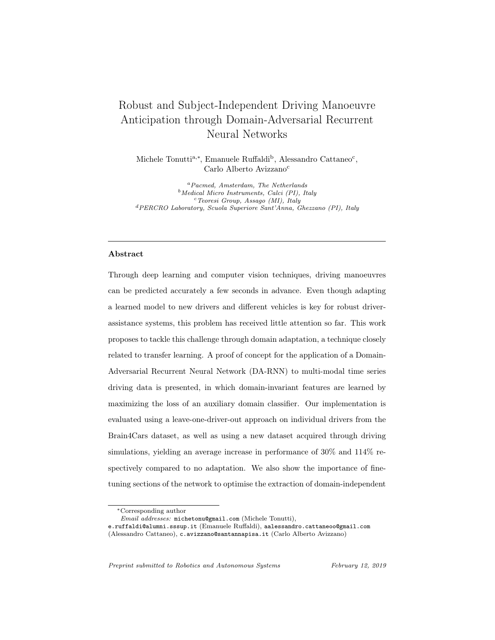plus going straight as the default action. During training, each manoeuvre is represented by a one-hot-encoded vector. At test time, an observation vector  $x_t$  is received by the model at every time-step. A probability threshold  $p_{th}$  is chosen, so that when, and only when, any  $y^j \geq p_{th}$ , a prediction of the respective manoeuvre will be made. At  $t = T$ , if no manoeuvre has been predicted with sufficient confidence, the default action (going straight) will be predicted.

The inputs  $x$  consist of the matrices of the head features (composed of facial features and head pose),  $\phi = [\phi_1, \ldots, \phi_T]$ ; of the gaze,  $\gamma = [\gamma_1, \ldots, \gamma_T]$ ; and of the environmental features,  $\boldsymbol{\eta} = [\eta_1, \dots, \eta_T]$ . Each element  $\phi_t$ ,  $\gamma_t$ , and  $\eta_t$  is a vector containing the respective individual features. The feature engineering and data processing pipelines are described more in detail in Section 5.

3.3. Network Architecture



Figure 2: Architecture of our model. Sensory fusion is performed by learning the concatenation of higher-level representations of the features at different points in the network.

The structure of our architecture, shown in Fig.2, was inspired by the sensory fusion approach proposed in previous work, in which the inputs are not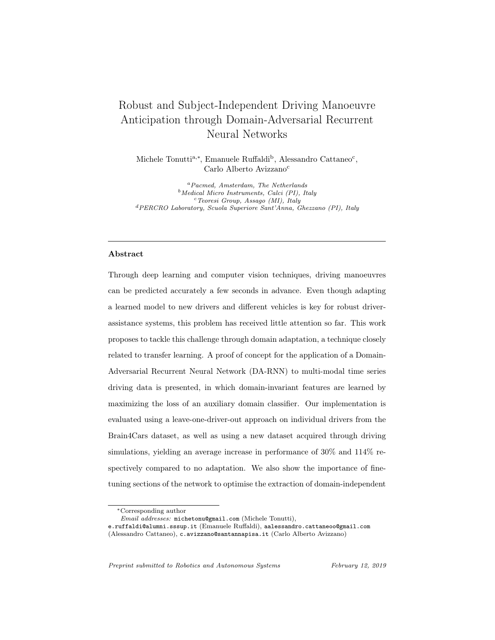concatenated before going through the network, but rather after the first recurrent layer(s) as high-level features [13, 37, 38]. We enhanced this idea by incorporating the concept of action- and context-dependent features proposed by Aliakbarian et al. [24]. They showed that, for a similar type of anticipation problem, this structure performs better than two parallel recurrent layers which disregard the action-context distinction. The concatenation occurs at two different places in the network: first the representations of the head features  $\phi_t$ are concatenated with those of gaze  $\gamma_t$ , after each of them has gone through an LSTM layer (Eq.12 and 13). Their concatenation is then passed through a GRU layer (Eq.14). The rationale for this choice is as follows: when an event can be classified in a main type (manoeuvre vs. going straight, i.e. no manoeuvre) and a sub-type (each of the four manoeuvres), a two-layered RNN architecture enables each of the two layers to specialise in the two predictions. This idea was proposed and successfully tested by Xiao et al. [56]. In our case, the first LSTM learns the main event type, while the following GRU learns which manoeuvre is performed. A GRU layer was preferred to a second LSTM in order to limit the increase in complexity.

The output of the GRU layer is then concatenated with the hidden output of a third LSTM layer whose inputs are the environmental features  $\eta_t$  (Eq.15). This concatenation is then fed to a fully-connected dense layer (Eq.16) [13]. Finally, the last softmax layer provides the classification probabilities for the five classes (Eq.17).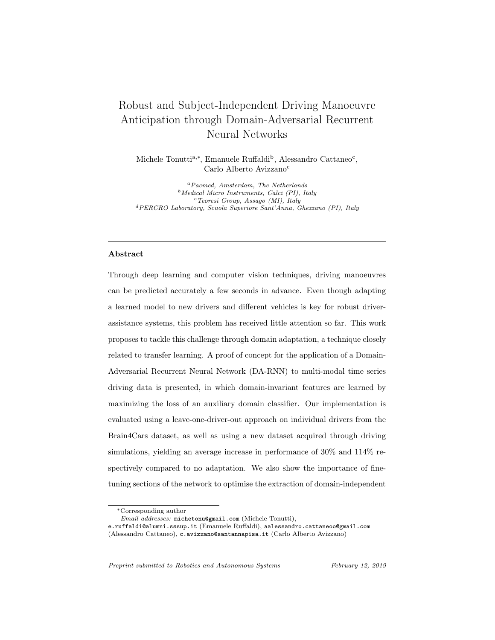$$
(\boldsymbol{h}^{\phi}_{t}, \boldsymbol{c}^{\phi}_{t}) = \text{LSTM}_{\phi}(\boldsymbol{\phi}_{t}, \boldsymbol{h}^{\phi}_{t-1}, \boldsymbol{c}^{\phi}_{t-1})
$$
\n(12)

$$
(\boldsymbol{h}_t^{\gamma}, \boldsymbol{c}_t^{\gamma}) = \text{LSTM}_{\gamma}(\boldsymbol{\gamma}_t, \boldsymbol{h}_{t-1}^{\gamma}, \boldsymbol{c}_{t-1}^{\gamma})
$$
\n(13)

$$
(\boldsymbol{h}_t^a) = \text{GRU}_a([\boldsymbol{h}_t^x; \boldsymbol{h}_t^g], \boldsymbol{h}_{t-1}^a, \boldsymbol{c}_{t-1}^a)
$$
(14)

$$
(\boldsymbol{h}_t^{\eta}, \boldsymbol{c}_t^{\eta}) = \text{LSTM}_{\eta}(\boldsymbol{\eta}_t, \boldsymbol{h}_{t-1}^{\eta}, \boldsymbol{c}_{t-1}^{\eta})
$$
\n(15)

$$
z_t = \tanh(W_f[h_t^a; h_t^\eta] + b_f)
$$
\n(16)

$$
\mathbf{y}_t = \text{softmax}(\mathbf{W}_y \mathbf{z}_t + \mathbf{b}_y) \tag{17}
$$

Because of the high number of learnable parameters ( $> 18 \times 10^4$ ), dropout was applied to both the recurrent and dense layers of the network. A dropout of 0.6 was set to the LSTM and GRU recurrent connections (recurrent dropout), while a dropout of 0.7 was set to the output of every layer [57, 58]. Additionally, the bias of the recurrent layers was initialised to 1, in order to improve the model's performance and training [53, 22].

In order to encourage the model to anticipate early, we implemented the loss function shown in Eq.18, which weighs each term of the cross-entropy categorical loss with an exponential term, as a function of time. The loss will be greater at larger values of t, thus rewarding the network for predicting the right class as early as possible [24, 25, 13].  $y_t^j$  represents the probability of event j computed by the model at time-step  $t$ .

$$
L_y = \sum_{j=1}^{N} \sum_{t=1}^{T} -e^{-0.9(T-t)} log(y_t^j)
$$
\n(18)

The network was trained through backpropagation with gradient-based optimization; we chose the Adam optimiser [59] for its simplicity, robustness, and low computational cost [60]. The learning rate was set to  $1 \times 10^{-3}$ ; the other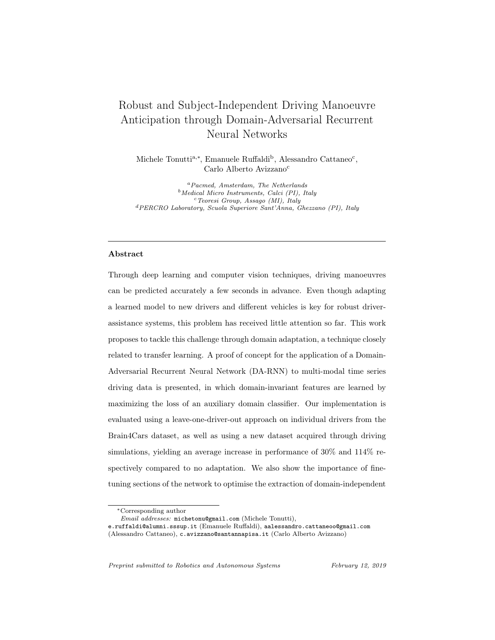parameters were set to the values suggested in the original paper:  $\beta_1 = 0.9$ ,  $\beta_2 = 0.999, \epsilon = 1 \times 10^{-8}$ , without temporal decay. We implemented additional regularization by using early stopping, with a patience of 80 epochs.

# 4. Domain-Adversarial RNN



Figure 3: DA-RNN. The proposed architecture for domain-adversarial training of our model to achieve domain adaptation. Left (red): the feature extractor, consisting in the LSTM-GRU network show in in Fig.2, without the last softmax layer. Top right (green): manoeuvre classifier. Bottom right (blue): Domain classifier. Diagram style inspired by Ganin et al. [11]. (Better viewed in colour.)

Our DA-RNN, pictured in Fig.3, is made up of three sections, divided in two main branches. The first section employs the LSTM-GRU network described in Section 3.3 (except for the last softmax layer) as a feature extractor. Its role is to learn the latent relationships between the features in the observation sequences. After the latent features are extracted, their hidden representation is fed into two branches: the first one is a discriminative classifier for manoeuvre anticipation, composed of a single softmax layer; the second one is an adversarial domain classifier. The key part of the latter is the gradient reversal layer: during the forward pass, the input is left unchanged, while during backpropagation, the gradient is negated and multiplied by a constant,  $\lambda$  (lower section of Fig.3). The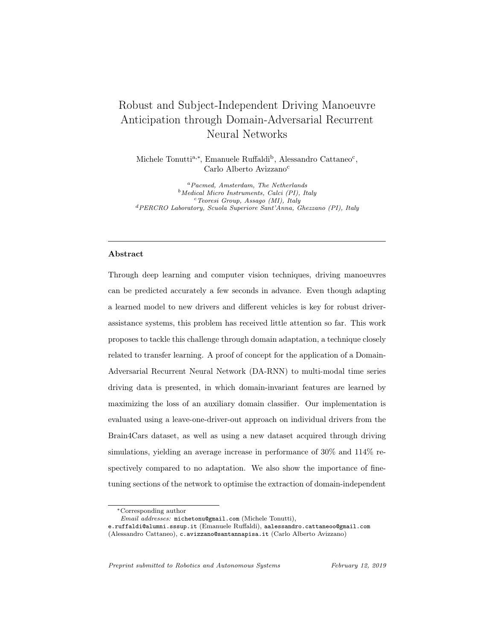loss of the domain classifier is thus maximised, thereby encouraging the feature extractor to find representations of the features which are domain-invariant [12]. Conversely, the label classifier's loss is minimised in order for the features to also be discriminative of the manoeuvres. The manoeuvre loss  $L_y$  is the time-dependent exponential function in Eq.18, while the domain loss  $L_d$  is the regular binomial cross-entropy loss function. The total loss is given by Eq.19; the effect of  $\lambda$  is discussed more in detail in Section 6.

$$
L_{tot} = L_y - \lambda L_d \tag{19}
$$

To train the model, half of each input batch is filled with samples from the source domain, and half from the target domain [11]. Since the latter, by assumption, contains fewer observations, target samples are used more than once in each epoch. This should not unfairly help the manoeuvre classifier, since  $L_y$  is only dependent on samples from the source domain: the observations belonging to the target domain are "hidden" from the manoeuvre classifier by assigning them a loss weight of 0 through the boolean mask (represented by the "target masking" block in Fig.3). The loss contribution from the samples of the source domain is left unchanged by assigning them a loss weight of 1. This approach is equivalent to computing  $L_y$  first using only transformed samples from the source domain, and then computing  $L_d$  using the combined batches. However, our method allows for the weight updates to be computed in a single forward- and backpass, significantly cutting down training time. At test time, inference is made on samples from the target domain not included in the training set, removing the boolean mask from the model. The performance is evaluated only on the prediction of the manoeuvre classifier.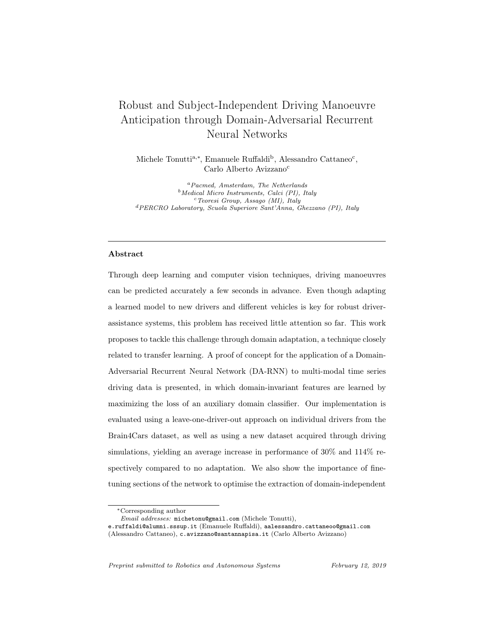## 5. Data Collection and Processing

#### 5.1. Brain4Cars Dataset

The dataset used as a benchmark for testing our anticipation architecture was developed by Brain4Cars [13]. At the time of writing and to our knowledge, it is the most complete dataset which includes synchronized recordings of the driver's upper body and the road in front of the car. It consists of 700 observations, each including a pair of videos with a duration of 5 seconds: one showing the driver's face inside the car, and the other one the road ahead, outside of the car. The videos are recorded at 30 frames-per-seconds, for a total 150 frames per video. Additional data is provided for each frame, including lane configuration, speed, and presence of intersections ahead of the car. Every observation is associated with a manoeuvre, performed at the end of the 5 seconds. The numbers of observations for each manoeuvre is as follows:  $\{\text{Going straight} =$ 234, Changing Lane Left  $= 124$ , Changing Lane Right  $= 58$ , Turning Left  $=$ 123, Turning Right  $= 55$ . The format of the features in the dataset is similar to that illustrated in Section 5.3 and 5.4. For a more in-depth explanation, we refer the reader to the original work by Jain et al. [13]. The dataset is publicly available on the Brain4Cars website.<sup>1</sup>

#### 5.2. Our Dataset

In order to build our own dataset for a more extensive evaluation of our model and the domain adaptation approach, we created a driving simulator setup following a standard structure for research [61, 62] and the same video format of the Brain4Cars data. While the Brain4Cars dataset represents an excellent resource, we believed it necessary to have access to a dataset where both the drivers and driving conditions are different from the Brain4Cars dataset in order

 $\rm ^1$  https://brain4cars.com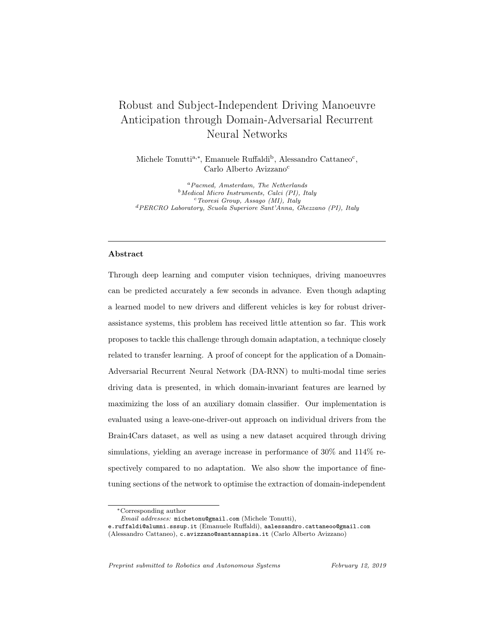to evaluate the domain-adaptation capabilities of our model. In practice, the goal is to mimic a real-life situation in which a commercial product may be applied to vehicles that are substantially different in size and/or position of mirrors, conducted by unseen drivers. A driving simulator was chosen in order to collect data quickly and in a controlled environment, using a combination of highway and city driving conditions. Similar virtual simulation setups have been frequently used for validation of ADAS and statistical approaches to driving style predictions [63, 64, 65].

We used the commercial game Euro Truck Simulator  $2<sup>2</sup>$ , including an unofficial modification which allows the player to drive a car instead of a truck. This specific game has been chosen among other driving simulator software due to the realism of the physics engine, the quality of the graphical output on the main view and rear mirrors, as well as the compatibility with the instrumentation. The setup, pictured in Fig.4, consisted of a three-screen high-resolution display system (CPU Intel i7-3930K and GPU NVidia GTX 960) and driving equipment with pedals, gears, and a steering wheel with force-feedback (G27, Logitech, CH). A commercial web-cam (HD Pro C920, Logitech, CH, at resolution 1080p), placed on the middle screen, was pointed towards the face of the driver. The three-screen setup allowed to have a field-of-view of about 200◦ . Car data from the game engine was obtained using an unofficial telemetry server  $3$ , whose output are JSON blocks containing a large number of information such as orientation, speed, acceleration, steering angle, etc.

Five (5) different subjects were asked to play for a time between 30 and 50 minutes, driving both in cities and on highways. They were asked to respect road rules and to behave as if they were in a real car (looking at mirrors, turning their

 $2$ SCS Software, 2012, https://eurotrucksimulator2.com/

<sup>3</sup>https://github.com/Funbit/ets2-telemetry-server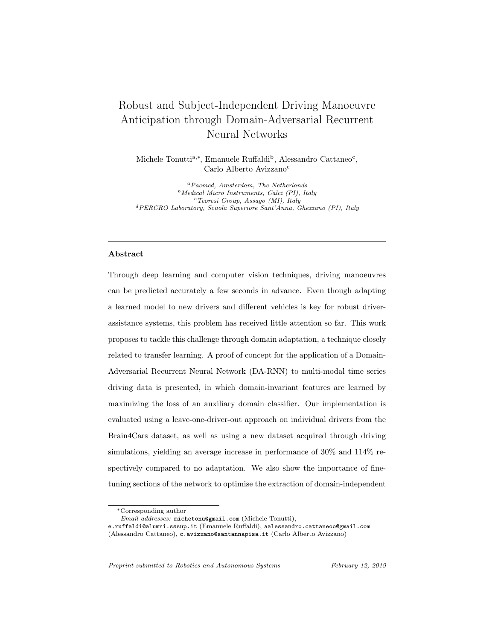

Figure 4: The setup for our data collection process.

head when needed, etc.) The game screen and the driver's face were recorded synchronously using the Open Broadcaster Studio Open Source software <sup>4</sup>. We aimed at minimizing the variance in the data caused by differences in the camera placement, as well as avoiding time intervals in which the tracking does not capture the facial landmarks due to the camera being partially covered by the driver's hands on the wheel. We therefore positioned our camera always in the same position on top of the central monitor, directly in front of the driver seat. In order to match the Brain4Cars dataset format, we extracted 5-second videos of the desired manoeuvres using the Boris Open Source video annotation tool5 [66] to annotate the manoeuvres in the raw footage. A custom Python script was written to cut up the 5 seconds preceding the onset of each manoeuvre (defined as the moment when the wheel touches the lane markings or when it starts turning at the intersection [13]), using a combination of Open Source OpenCV library<sup>6</sup> and FFmpeg video conversion tool<sup>7</sup>. The final dataset comprises 113 videos: {Going straight  $= 32$ , Changing Lane Left  $= 21$ , Changing Lane Right  $= 19$ , Turning Left  $= 24$ , Turning Right  $= 17$ . The number of observations is smaller than those in the Brain4Cars dataset, as its aim is to provide the target samples for a domain adaptation problem; in a real-life situation, target sets

<sup>4</sup>https://obsproject.com/

 $5\,\mathrm{http://www.boris.unito.it/}$ 

<sup>6</sup>http://opencv.org/

<sup>7</sup>https://www.ffmpeg.org/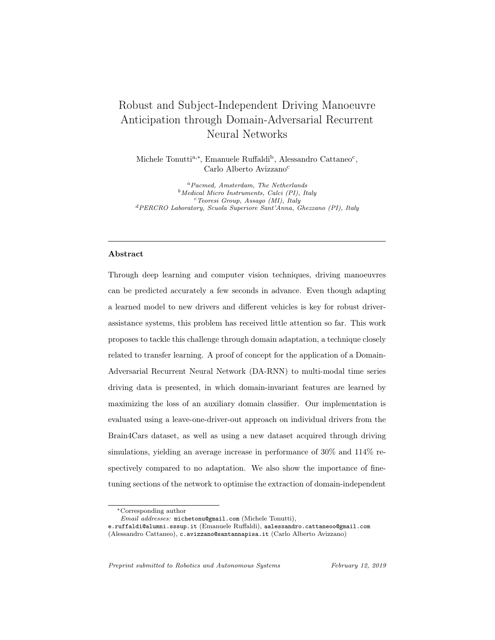will always be considerably smaller than source sets.

Our dataset has been made available as Open Access on Zenodo with the following DOI: <http://dx.doi.org/10.5281/zenodo.1009540>.

#### 5.3. Feature Extraction and Processing

To extract features from the videos of both datasets we used OpenFace, an open-source toolkit that provides facial landmark tracking, head pose estimation, and gaze tracking, from videos and images, using a combination of Conditional Local Neural Fields (CLNF) and CNNs [32]. It is capable of high performance real-time tracking using regular cameras, making it an attractive option for ADAS. Once the data was extracted from the videos, we followed the feature processing pipeline defined by Jain et al. [13], with slight modifications to binning intervals, labelling of the environmental features, and feature scaling. We were interested in obtaining the movements of the facial landmarks, the head pose, the direction of the gaze, as well as environmental informations – namely lane configuration, presence of intersections ahead in near proximity, and speed of the car. A time-series is constructed for each sample in the datasets, with each frame representing a time-step in the observation sequence  $x_t$ . Data analysis and processing, feature engineering were carried out in Python 3.

## 5.4. Action-related Features

#### 5.4.1. Facial Landmarks and Head Pose

We represent the movement of the driver's head with the motion of the facial landmarks, using a binning approach. We took the velocity of each of the 68 landmarks between consecutive frames, calculating the horizontal motion as  $\delta x^{face} = x_t^{face} - x_{t-1}^{face}$ , in pixels and in the image space; and the angular motion in the  $x - y$  plane as  $\theta^{face} = arctan2(\delta y^{face}, \delta x^{face})$ , in radians. These values were binned to create histogram features. Six (6) bins were chosen for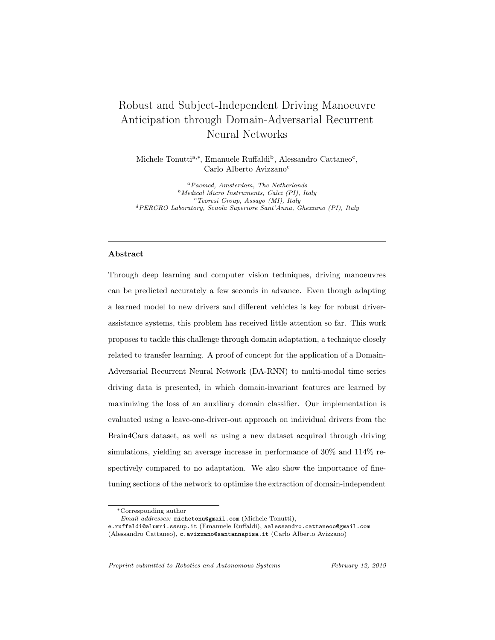the horizontal motion:

 $\{\delta x \leq -5; -5 < \delta x \leq -2.5; -2.5 < \delta x \leq 0; 0 < \delta x \leq 2.5; 2.5 < \delta x \leq 5; \delta x > 5\}$ pixels, while for the angular motion we used four (4) bins:  $\{0<\theta\leq\pi/2;\ \pi/2<\theta\leq\pi;\ \pi<\theta\leq3\pi/2;\ 3\pi/2<\theta\leq2\pi\}$  radians. Negative values refer to motions towards the left-hand side of the image and the right-hand side of the driver.

The head pose was also included using the Euler angles representation  $[R_x(\alpha_{pitch}),$  $R_y(\alpha_{yaw}), R_z(\alpha_{roll})$  as it was shown to improve the performance [13, 67]. Overall, the histogram features and head pose form the head features  $\phi \in \mathbb{R}^{13}$ .

## 5.4.2. Eye Gaze

Information about the driver's gaze was also obtained through OpenFace's output, which provides a 3D direction vector for each eye, normalised and in world coordinates. We took the average components of both eyes, and applied a Butterworth low-pass filter (4th order, sampling frequency of 30 Hz, cutoff of 1.66 Hz) in order to eliminate noise deriving from tracking inaccuracies and natural saccades. The filter introduces a minimal delay which was proven to not be detrimental to the model, and it can be applied in real time. To create the feature vector we take the  $x$  and  $y$  component of the gaze direction vector (which correspond to the horizontal and vertical direction in the image plane), scaled between -1 and 1, to create histogram features, similarly to the head features. The bins chosen are:

 ${-1 < \delta x \le -0.5; -0.5 < \delta x \le 0; 0 < \delta x \le 0.5; 0.5 < \delta x \le 1}$  pixels, in the image space. Identical bins were chosen for  $\delta y$ . In this case we used the direction components rather than the inter-frame velocity since we found that it correlates better with the driver's intention. We define  $\gamma \in \mathbb{R}^8$  as the gaze features.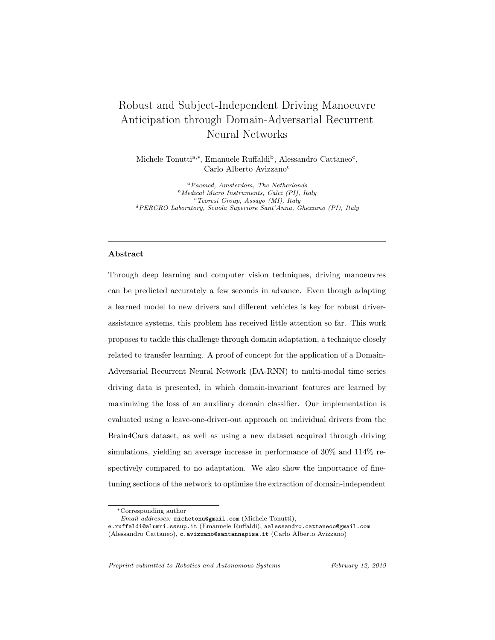#### 5.5. Context-related Features (Environment)

The environmental context is expressed by  $\eta \in \mathbb{R}^4$ . The first two features are boolean variables expressing the presence of a lane to the left and to the right of the car, respectively. The third feature is also boolean, and indicates the presence of an intersection ahead and in the near proximity of the car. For the purpose of this study, these three values were labelled manually for each observation. In a practical implementation, this information could be extracted automatically through lane detection algorithms [68, 69] fused with GPS data. Finally, the fourth value is the speed of the car in km/h. This value is provided in the Brain4Cars dataset, and was measured by the physics engine of the game in our dataset.

#### 6. Experiments

In this section we present the results of the experiments conducted on the Brain4Cars' and our dataset, using the features extracted according to the method described in Section 5. We first tested the network for manoeuvre anticipation on the two datasets separately, shuffling samples from all drivers before the training-test split, as done by Jain et al. [13]. We show that the new architecture and additional features yield to an improvement in the performance of the model. We then investigated the applications of domain adaptation to our model via domain-adversarial training, in two ways: a) employing a leaveone-out approach on each driver in the Brain4Cars dataset, in order to study the possibility of personalising a model in a partly-unsupervised manner; b) using the entirety of the Brain4Cars dataset as the source domain and our dataset as the target domain, in order to study how the approach works with different feature distributions. In both cases, we attempted to increase the performance of the models through fine-tuning –meaning initializing the weights of certain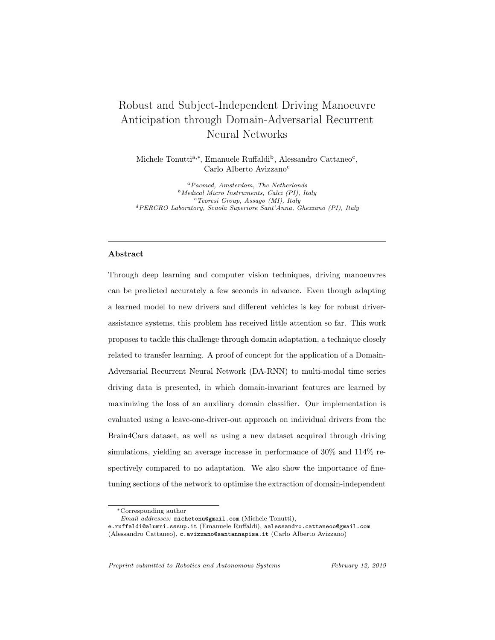layers with weights from a pre-trained model–, and we studied the effect of varying the value of the domain loss multiplier  $\lambda$ .

To evaluate the results, four measures were used. Three of them provide the multi-class classification score for the predicted action, namely: precision, recall and F1 score [70]. The fourth measure is the time-to-prediction (TTP), representing how many seconds before the onset of the manoeuvre the prediction is made. When calculating precision, recall, and F1 score, the "going straight" predictions are not considered, as it is considered the baseline state. The probability threshold was set to 0.9 for all experiments, since this value was shown to yield the most confident and quick predictions [13]. This means that at each time-step  $t$ , a prediction is made only if at least one of the 5 outputs of the models is  $\geq 0.9$ . We trained all models with batches of size 128.

#### 6.1. Experiment 1: Manoeuvre Anticipation

The first experiment was performed using the LSTM-GRU architecture described in Section 3.3 on the Brain4Cars dataset, without domain adaptation, in order to evaluate its performance as a feature extractor. Samples from all drivers were shuffled, and a test set was set aside taking 15% of the total observations. 5-fold cross validation was used, with the 5 validation subsets each making up a different 20% of the training set. Training and validation sets were normalised jointly before the split. Following Jain et al.'s approach, we augmented the training set by extracting subsequences of random length  $(T_{sub})$ from the original observation, with  $50 < T_{sub} < 150$ . These additional samples were used as additional training examples, thereby adding redundancy and additionally decreasing the risk of over-fitting [13]. More sub-samples were taken from under-represented classes, thus balancing the class ratios. For the Brain4Cars dataset, this led to a total of 2160 training samples; 312 for ours. The results are shown in Table 1. We compare our performance with Jain et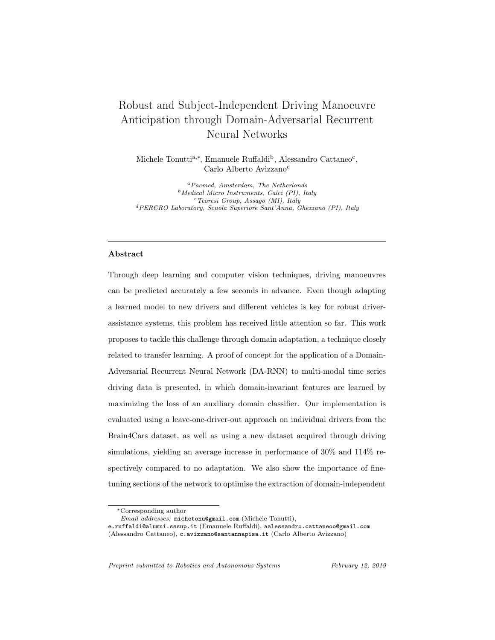al.'s LSTM model [13]. It can be seen that our network performs better for all manoeuvres, reaching a higher F1 score as well as a higher time-to-prediction. We theorise that this improvement is due partly to the additional information given by the gaze direction. Indeed, excluding the gaze-related features, the performance of the model was observed to drop by up to 1-1.5%. However, we attribute the improvement especially to the enhanced sensory fusion (including the action-context structure). Indeed, a parallel structure in which the hidden representations of all three inputs are concatenated after the initial recurrent layers performs marginally worse than Brain4Cars' model. This shows that simply adding more features does not necessarily improve the performance of a model if it is not accompanied by rational modifications in the architecture.

In addition, it was noticed that the added complexity of the network caused a strong tendency to overfit, despite the high dropout, the early-stopping criteria, and the redundancy in the training data. However, it is likely that the number of samples is not large enough; bigger datasets should alleviate this problem and further enhance the model's performance. Lastly, we report that including the car's speed as part of the environmental features was detrimental to the performance of the model, and, for this reason, it was excluded in the subsequent experiments. This may be due to the fact that, especially in sequences leading to lane changes or driving straight, maneuvers may not be correlated with specific ranges of speed values; further analysis should be carried out on the subject. However, we observed that excluding any of the other features used by Jain et al. [13] from either dataset worsens the performance considerably. This was confirmed experimentally through 5-fold cross-validation.

The same model was also tested on our dataset, using a similar procedure. The results, illustrated in Table 2, show that the performance is lower than for the Brain4Cars dataset. This is most likely due to the lower number of samples,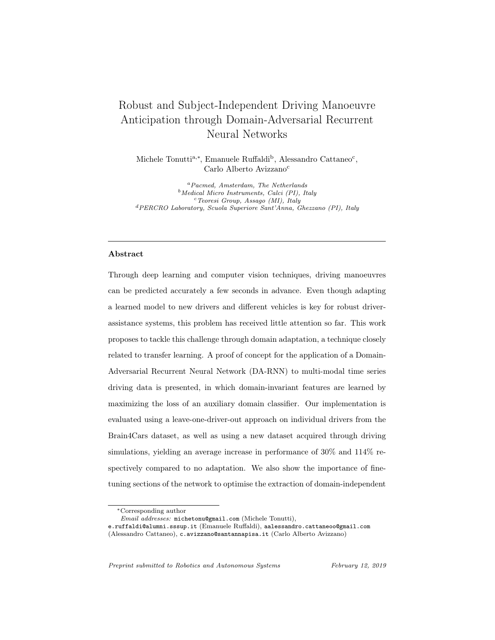|                    | Changing lane |               |               |      | Turning       |        |      |            | All manoeuvres |        |      |                |
|--------------------|---------------|---------------|---------------|------|---------------|--------|------|------------|----------------|--------|------|----------------|
|                    | Prec.         | Recall        | F1            | TTP  | Prec.         | Recall |      | <b>TTP</b> | Prec.          | Recall | F1   | TTP            |
|                    | 70)           | $\frac{1}{2}$ | $\frac{1}{2}$ | (s)  | $\frac{1}{6}$ | (%)    | '%)  | (s)        | (%)            | $\%$   | (%   | $(\mathrm{s})$ |
| B <sub>4</sub> C   | 95.4          | 85.7          | 88.8          | 3.42 | 68.5          | 78.5   | 72.1 | 3.78       | 82.0           | 82.1   | 82.0 | 3.58           |
| B4C w/ Head pose   |               |               |               |      |               |        |      |            | 90.5           | 87.4   | 88.3 | 3.16           |
| LSTM-GRU<br>(ours) | 96.5          | 90.5          | 93.6          | 3.90 | 91.1          | 90.9   | 91.0 | 4.06       | 92.3           | 90.8   | 91.3 | 3.98           |

Table 1: Manoeuvre anticipation on the Brain4Cars dataset. Results of the nonadaptive LSTM-GRU network on a test set comprised of observations from all drivers. Results reported from Brain4Cars (B4C) are taken directly from the paper [13].

and the fact that in a simulation setting, drivers tend to do less emphatic head and eye movements. Conversely, fine-tuning the network by pre-training its weights using the Brain4Cars dataset improves the performance.

|                    | Prec.  | Recall | F1     |     |  |
|--------------------|--------|--------|--------|-----|--|
|                    | $(\%)$ | (%)    | $(\%)$ | (s) |  |
| No Pre-Training    | 82.0   | 82.1   | 82.0   | 3.9 |  |
| Pre-trained on B4C | 89.4   | 92.2   | 90.8   |     |  |

Table 2: Manoeuvre anticipation on our dataset. Results of the non-adaptive LSTM-GRU network on a test set comprised of observations from all drivers, without and with fine-tuning.

Overall, these results show that our model represents an improvement over the most recent LSTM-based approach in manoeuvre anticipation, and prove that our dataset can be used reliably with a comparable performance. Moreover, it was shown that fine-tuning can be a powerful approach to enhance the model's capability if a larger, more reliable dataset is available.

#### 6.2. Experiment 2: Domain Adaptation on Different Drivers

In order to investigate how a trained model can learn to adapt to a small set of unlabelled driving videos belonging to a subject not included in the training set, we manually separated the videos of each individual driver in the Brain4Cars dataset from each other. We then ran our DA-RNN using observations from all drivers except one as the source domain, while, as the target domain, we used the samples from the remaining driver. Once trained, the model was tested on a set of samples from the target domain not included in the training set, all from the same driver. This was done for each driver separately, and the results were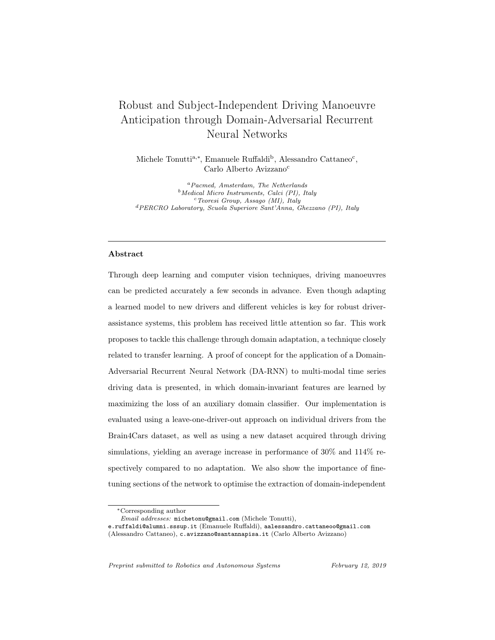averaged. In addition, we fine-tuned the networks by initializing the weights of the LSTM-GRU feature extractor by pre-training them on the source domain. The results are shown in Table 3.

|                        | Prec.  | Recall |                 | TTP                 |
|------------------------|--------|--------|-----------------|---------------------|
|                        | $(\%)$ | $(\%)$ | $\mathscr{C}_0$ | $\langle s \rangle$ |
| No adaptation          | 60.9   | 57.7   | 58.0            | 3.8                 |
| DA-RNN                 | 71.7   | 66.5   | 68.1            | 3.9                 |
| $DA-RNN w/Fine Tuning$ | 77.7   | 75.6   | 76.8            | 3.8                 |

Table 3: Performance of the DA-RNN, using a leave-one-out approach on the Brain4Cars dataset, averaged over 6 drivers.  $(\lambda = 1.10)$ 

From the results it is clear that when the test driver is not part of the training set, the model does not perform well without adaptation. However, when the model is trained with the domain-adversarial training, an absolute improvement of more than 10% can be observed. A further improvement is obtained by pre-training the weights of the feature extractors on the source domain, yielding an increase in performance of almost 20% compared to the non-adapting model. This is because, by initializing the weights with values that are known to produce accurate predictions, the network is already trained to find features that are discriminative of the manoeuvres.

Additionally, we found that the hyperparameter  $\lambda$ , which is the constant multiplier of the domain classifier's loss during backpropagation, plays a key role in feature extraction. The higher its value, the higher the influence of the domain classifier loss, meaning a stronger push towards domain invariance in the feature extractor. The network will therefore tend to find features that are shared by the two domains, but which are not necessarily discriminative. A small  $\lambda$ , on the other hand, will cause the extracted features to be less domaininvariant but more effective to classify the maneuvers in the source domain samples. For our experiments, we found that a value  $\approx 1$ , meaning an equal weighting of the losses from the two classifiers yielded the best performance.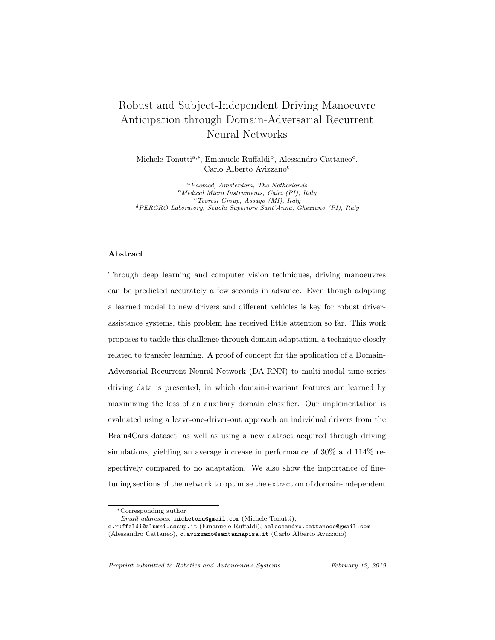#### 6.3. Experiment 3: Domain Adaptation on Our Dataset

The third experiment was performed to attempt a transfer of information between the Brain4Cars data and our dataset. Being able to adapt a model to observations in which the features are distributed very differently can be important in applications such as driver training, Virtual Reality simulations, and autonomous driving research. Fig.5 shows that the two distributions are indeed very different: the head movements made by the drivers in a real-world driving scenario have a higher within-manoeuvre variance than those driving a simulator, but a smaller variance between the different manoeuvres. The fact that the subjects were asked to perform the same movements as in a real-setting, however, makes it plausible that it is possible to find latent features which are shared by both datasets. Moreover, the fact that fine-tuning the model using one dataset improves the performance on the other provides additional support to this theory. Table 4 illustrates the results of three different approaches: 1. Training and validating the model on the Brain4Cars dataset, and testing it on our dataset (no adaptation); 2. Training the DA-RNN using the Brain4Cars dataset as source domain and our dataset as target domain; 3. Training the



Figure 5: Marginal distributions of the Brain4Cars and our datasets. Box plots of the horizontal velocity of the facial landmarks for both datasets.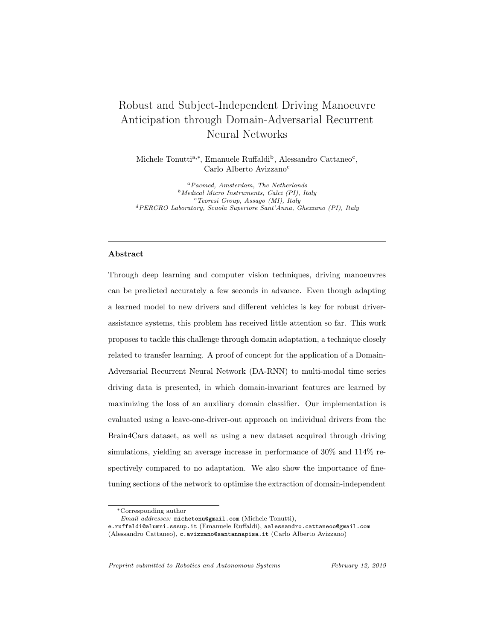DA-RNN using the Brain4Cars dataset as source domain and our dataset as target domain, with fine-tuning (i.e. initializing the weights of the feature extractor by pre-training our LSTM-GRU network on the Brain4Cars dataset.)

|                        | Prec.  | Recall |      | TTP |  |
|------------------------|--------|--------|------|-----|--|
|                        | $(\%)$ | $(\%)$ | '%)  | (s) |  |
| No adaptation          | 27.3   | 31.5   | 29.0 | 3.8 |  |
| DA-RNN                 | 47.5   | 38.7   | 42.6 | 4.0 |  |
| $DA-RNN w/Fine Tuning$ | 72.6   | 55.1   | 62.7 | 4.0 |  |

Table 4: Performance of the DA-RNN, with the Brain4Cars dataset as source domain and our dataset as the target domain.  $(\lambda = 1.10)$ 

The first striking observation is the extremely poor performance of the model without adaptation. We infer that when the marginal distribution of the features in two domains are very different, a non-adaptive model fails to generalise. The DA-RNN, in comparison, performs better, with an increase in F1 score of 12 percentage points and an increase in time-to-prediction of 0.2 s. The most critical improvement was registered when the feature extractor was fine-tuned on the source domain, with an F1 score of 62.7%. The overall performance is still lower than the case of Experiment 2, when the drivers belonged to the same dataset (i.e. driving in similar conditions), but much higher than the noadaptation case. These relative improvements in performance are comparable to the ones found in recent works performing similar domain adaptation tasks, such as the ones reported in the original DANN paper by Ganin et al. [11].

Overall, these results confirm the hypothesis that there exist latent features shared by datasets of observations in which similar driving tasks are performed, but in largely different settings; moreover, they highlight the need of an adaptive approach for the practical implementations and personalizations of ADAS.

The models were created, trained and tested using Python 3, using the deep learning framework Keras 2.0 with the TensorFlow 1.2 backend. Network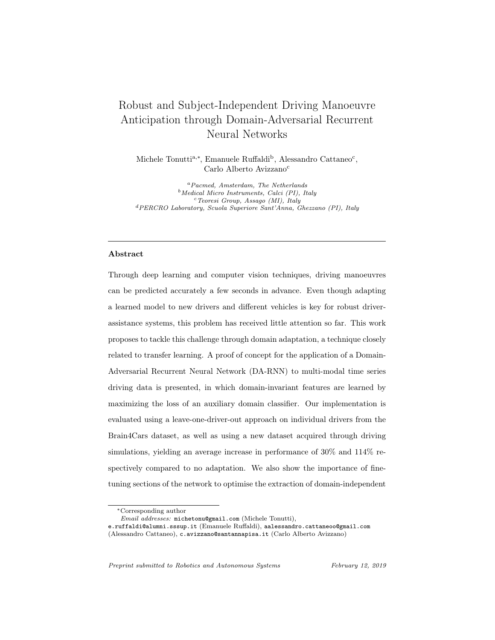training was run on a machine with CPU Intel Core i7-7700K and GPU NVidia GTX 1080, and 32GB of memory.

The code of the architecture of the DA-RNN can be found at [https://](https://github.com/michetonu/DA-RNN_manoeuver_anticipation) [github.com/michetonu/DA-RNN\\_manoeuver\\_anticipation](https://github.com/michetonu/DA-RNN_manoeuver_anticipation).

## 7. Conclusions

In this paper we proposed and tested a Domain-Adversarial Recurrent Neural Network for adaptive driving manoeuvre anticipation. Trained on a large source dataset of driving observations, our DA-RNN is able to adapt to smaller, unlabelled sets of observations by maximizing the loss of a domain classifier used as an auxiliary output. To extract domain-invariant features from multimodal time-varying data, we designed a multi-stage LSTM-GRU architecture based on Ganin et al.'s DANN [11], which uses a CNN as feature extractor, and Purushotham et al.'s R-DANN [12], which instead uses vanilla RNN layers. In order to apply it to the problem of manoeuver anticipation, we expanded on the work done by Jain et al.[13], adding eye gaze direction to the set of input features used to predict driving actions. An alternative approach to carry out advanced sensory fusion is implemented by learning the concatenation of the hidden representations of the features through recurrent layers. The LSTM-GRU section of the network was proven to outperform state-of-the-art work on non-adaptive manoeuvre anticipation tasks. We also present a new dataset obtained through a driving simulation set-up, and made it available for public use.

The evaluation of the DA-RNN was carried out initially using a leave-one-out approach, in which the observations of each individual driver in the Brain4Cars dataset was left out from the training set and used as target domain. An increase of 17 percentage points in F1 score was registered when the DA-RNN's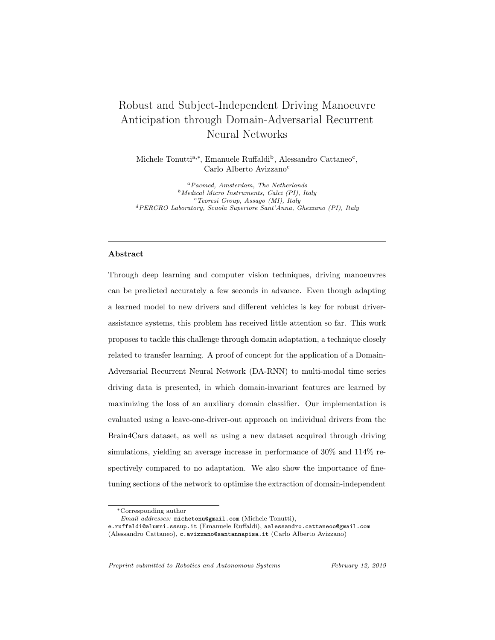feature extractor was pre-trained on the source domain. The results show the potential of domain-adversarial training to adapt models to new drivers without the need to retrain them with additional labelled examples. In a real-world scenario, observations to be used as the target domain could be captured automatically during the first drive, eliminating the necessity for manual labelling. The second evaluation consisted in using the Brain4Cars dataset as the source domain and our dataset as the target domain, with the same feature space but a different feature distribution. We reported an improvement in F1 score by 114% (32.7 percentage points) compared to the non-adaptive case, when the model's weights are fine-tuned. Overall, we demonstrate that the domain-adversarial approach represents a promising approach to increase the flexibility and generalization capabilities of commercial ADAS through domain adaptation.

We conclude that non-adaptive models are not able to generalise well in contexts a) where the target driver was not part of the training set, and b) where the features in the target domain have a very different marginal distribution, which is the case when the driving set-up in the target set differs from the one used to collect the training data. Adaptive models will therefore be necessary for ADAS installed in commercial vehicles, and will prove helpful in virtual simulations and driving training tasks. In order to further validate the approach in the context of assisted driving, additional tests should be conducted on a larger target dataset obtained in real-life conditions. Larger and more diverse driving video datasets will enable even higher performances, as one of the bottlenecks of our approach was found in the network's tendency to overfit, due to the complexity of the architecture and the relatively small size of the datasets. This work sets the bases for further research aimed at enabling adaptive deep neural networks to reach performances comparable to fully supervised models.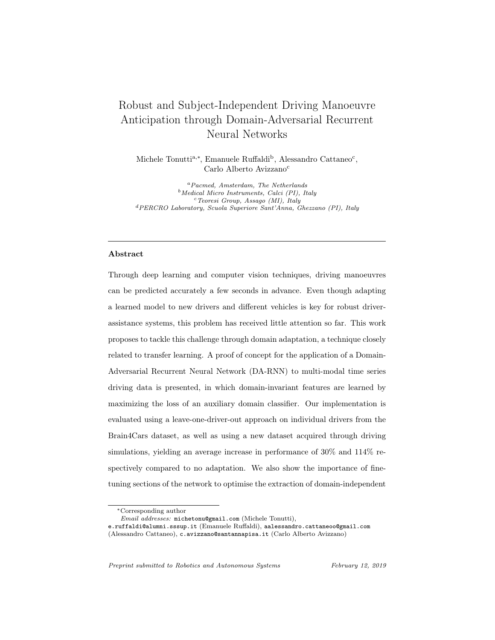# 8. Acknowledgments, Contributions and Funding

We would like to thank the members of the PERCRO Lab who volunteered for the data collection process, namely L. Peppoloni, G. Dabisias, L. Landolfi, and F. Brizzi. A huge thank you also to J. von Kügelgen for the technical support on domain adaptation and thorough proofreading of the manuscript. Finally, we would like to extend our appreciation towards the creator of all the software used in this work, as well as to the authors of the Brain4Cars dataset for making it available online for free. We strongly believe in open-source software and open access to data; we therefore decided to also publish and share our dataset for free use.

Study conception and design: MT, ER, CAA. Acquisition of data: MT, AC. Analysis and interpretation of data: MT, ER. Drafting of manuscript: MT, ER, CAA.

The activities related to the results in this manuscript have been supported within the program of the Excellence Department on Robotics and Artificial Intelligence. The related project is supported by the National Ministry for Education and Research (MIUR). The authors are grateful to Scuola Superiore Sant'Anna, the TeCIP institute and the Department above for the offered logistic, technical and financial support.

## 9. Copyright Notice

©2019. This manuscript version is made available under the CC-BY-NC-ND 4.0 license, which can be found at the following URL: <http://creativecommons.org/licenses/by-nc-nd/4.0/>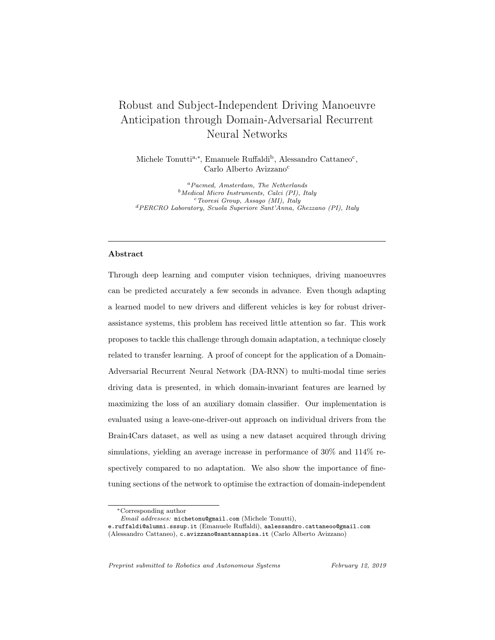#### 10. Bibliography

## References

- [1] A. Paul, R. Chauhan, R. Srivastava, M. Baruah, Advanced Driver Assistance Systems, SAE Technical Paper 2016-28-0223[doi:10.4271/](http://dx.doi.org/10.4271/2016-28-0223) [2016-28-0223](http://dx.doi.org/10.4271/2016-28-0223).
- [2] H. H. Hurt, J. V. Ouellet, D. R. Thom, Motorcycle accident cause factors and identification of countermeasures: Appendix, Tech. rep., National Highway Traffic Safety Administration (1981).
- [3] J. Levinson, J. Askeland, et al., Towards fully Autonomous driving: systems and algorithm, IEEE Intelligent Vehicles Symposium (2011) 163–168.
- [4] Q. V. Le, W. Y. Zou, S. Y. Yeung, A. Y. Ng, Learning hierarchical invariant spatio-temporal features for action recognition with independent subspace analysis, Cvpr (2011) 3361–3368[doi:10.1109/CVPR.2011.5995496](http://dx.doi.org/10.1109/CVPR.2011.5995496).
- [5] A. Karpathy, G. Toderici, et al., Large-scale video classification with convolutional neural networks, IEEE Conference on Computer Vision and Pattern Recognition (CVPR) (2014) 1725–1732[doi:10.1109/CVPR.2014.223](http://dx.doi.org/10.1109/CVPR.2014.223).
- [6] M. Hermans, B. Schrauwen, Training and Analyzing Deep Recurrent Neural Networks, NIPS (2013) 190–198.
- [7] C. Vondrick, H. Pirsiavash, A. Torralba, Anticipating the future by watching unlabeled video[arXiv:1504.08023v1]( http://arxiv.org/abs/1504.08023v1).
- [8] H. C. Ravichandar, A. Kumar, A. P. Dani, K. R. Pattipati, Learning and Predicting Sequential Tasks Using Recurrent Neural Networks and Multiple Model Filtering, in: AAAI Fall Symposium, 2016, pp. 331–337.
- [9] S. Ben-David, J. Blitzer, Analysis of representations for domain adaptation, Advances in Neural Information Processing Systems 19 (2007) 137–144.
- [10] S. Ben-David, J. Blitzer, K. Crammer, A. Kulesza, F. Pereira, J. W. Vaughan, A theory of learning from different domains, Machine Learning 79 (1-2) (2010) 151–175. [doi:10.1007/s10994-009-5152-4](http://dx.doi.org/10.1007/s10994-009-5152-4).
- [11] Y. Ganin, E. Ustinova, H. Ajakan, et al., Domain-adversarial training of neural networks, Journal of Machine Learning Research 17 (2016) 1–35.
- [12] S. Purushotham, W. Carvalho, T. Nilanon, Y. Liu, Variational Recurrent Adversarial Deep Domain Adaptation, International Conference on Learning Representations (2016) 1–11.
- [13] A. Jain, A. Singh, H. S. Koppula, S. Soh, A. Saxena, Recurrent neural networks for driver activity anticipation via sensory-fusion architecture, in: IEEE ICRA, 2016, pp. 3118–3125. [doi:10.1109/ICRA.2016.7487478](http://dx.doi.org/10.1109/ICRA.2016.7487478).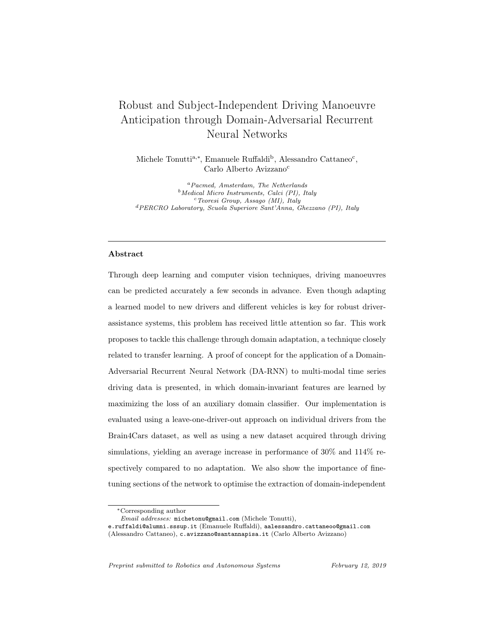[14] J. Jiang, [A literature survey on domain adaptation of statistical classifiers](http://sifaka.cs.uiuc.edu/jiang4/domain_adaptation/survey/da_survey.pdf) 2007 (March).

URL [http://sifaka.cs.uiuc.edu/jiang4/domain\\_adaptation/](http://sifaka.cs.uiuc.edu/jiang4/domain_adaptation/survey/da_survey.pdf) [survey/da\\_survey.pdf](http://sifaka.cs.uiuc.edu/jiang4/domain_adaptation/survey/da_survey.pdf)

- [15] V. Patel, R. Gopalan, Visual Domain Adaptation: A survey of recent advances, IEEE Sig Proc Mag 02138 (2015) 1–36. [doi:10.1109/MSP.2014.](http://dx.doi.org/10.1109/MSP.2014.2347059) [2347059](http://dx.doi.org/10.1109/MSP.2014.2347059).
- [16] J. C. B. Gamboa, Deep Learning for Time-Series Analysis[arXiv:1701.]( http://arxiv.org/abs/1701.01887) [01887]( http://arxiv.org/abs/1701.01887).
- [17] J. Liu, A. Shahroudy, D. Xu, G. Wang, Spatio-temporal lstm with trust gates for 3d human action recognition, in: ECCV, Springer, 2016, pp. 816– 833.
- [18] K. Greff, R. K. Srivastava, J. Koutnik, B. R. Steunebrink, J. Schmidhuber, LSTM: A Search Space Odyssey, IEEE TNNLS[doi:10.1109/TNNLS.2016.](http://dx.doi.org/10.1109/TNNLS.2016.2582924) [2582924](http://dx.doi.org/10.1109/TNNLS.2016.2582924).
- [19] M. Baccouche, F. Mamalet, C. Wolf, Sequential deep learning for human action recognition, Proc. Int. Conf. Human Behavior Understanding (HBU) (2011) 29–39[doi:10.1007/978-3-642-25446-8](http://dx.doi.org/10.1007/978-3-642-25446-8).
- [20] S. Hochreiter, J. Schmidhuber, Long short-term memory, Neural Comput. 9 (8) (1997) 1735–1780. [doi:10.1162/neco.1997.9.8.1735](http://dx.doi.org/10.1162/neco.1997.9.8.1735).
- [21] J. Chung, C. Gulcehre, K. Cho, Y. Bengio, Empirical Evaluation of Gated Recurrent Neural Networks on Sequence Modeling (2014) 1–9.
- [22] F. A. Gers, J. Schmidhuber, F. Cummins, Learning to Forget: Continual Prediction with LSTM, Neural Computation 12 (10) (2000) 2451–2471. [doi:10.1162/089976600300015015](http://dx.doi.org/10.1162/089976600300015015).
- [23] M. Shimosaka, T. Kaneko, K. Nishi, Modeling risk anticipation and defensive driving on residential roads with inverse reinforcement learning, in: 2014 IEEE 17th International Conference on Intelligent Transportation Systems (ITSC), 2014, pp. 1694–1700.
- [24] M. S. Aliakbarian, F. Saleh, M. Salzmann, B. Fernando, L. Petersson, L. Andersson, Encouraging LSTMs to Anticipate Actions Very Early[arXiv:1703.07023]( http://arxiv.org/abs/1703.07023).
- [25] F.-H. Chan, Y.-T. Chen, Y. Xiang, M. Sun, Anticipating accidents in dashcam videos, in: Asian Conference on Computer Vision, 2016, pp. 136–153.
- [26] J. R. Flanagan, R. S. Johansson, Action plans used in action observation, Nature 424 (6950) (2003) 769–771. [doi:10.1038/nature01861](http://dx.doi.org/10.1038/nature01861).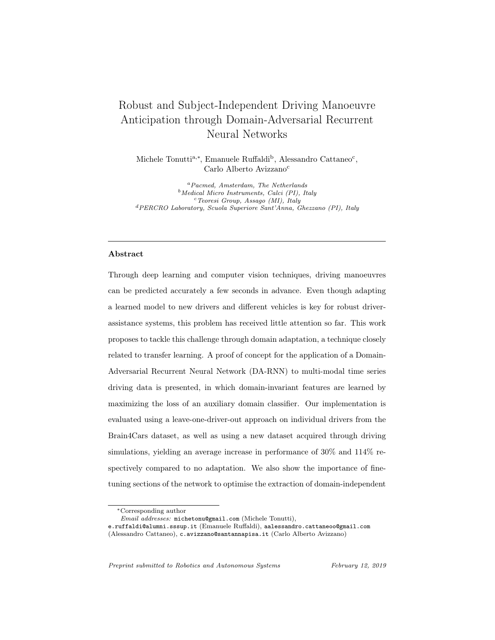- [27] G. Gredebäck, T. Falck-Ytter, Eye movements during action observation, Perspectives in Cognitive Science 10 (5) (2015) 591–598. [doi:10.1177/](http://dx.doi.org/10.1177/1745691615589103) [1745691615589103](http://dx.doi.org/10.1177/1745691615589103).
- [28] Y. Matsumoto, J. Heinzmann, A. Zelinsky, The essential components of human-friendly robot systems, in: International Conference on Field and Service Robotics, 1999, pp. 43–51.
- [29] C. Miyajima, K. Takeda, Driver-Behavior Modeling Using On-Road Driving Data: A new application for behavior signal processing, IEEE Sig Proc Mag 33 (6) (2016) 14-21. doi: 10.1109/MSP. 2016. 2602377.
- [30] L. Fletcher, A. Zelinsky, Driver Inattention Detection based on Eye Gaze—Road Event Correlation, IJRR 28 (6) (2009) 774–801. [doi:10.](http://dx.doi.org/10.1177/0278364908099459) [1177/0278364908099459](http://dx.doi.org/10.1177/0278364908099459).
- [31] C. Gou, Y. Wu, K. Wang, K. Wang, F. Y. Wang, Q. Ji, A joint cascaded framework for simultaneous eye detection and eye state estimation, Pattern Recognition 67 (2017) 23–31. [doi:10.1016/j.patcog.2017.01.023](http://dx.doi.org/10.1016/j.patcog.2017.01.023).
- [32] T. Baltrušaitis, P. Robinson, L.-P. Morency, Openface: an open source facial behavior analysis toolkit, in: IEEE WACV, 2016, pp. 1–10.
- [33] J. Ngiam, A. Khosla, M. Kim, J. Nam, H. Lee, A. Y. Ng, Multimodal Deep Learning, Proceedings of the 28th International Conference on Machine Learning (ICML) (2011) 689-696doi: 10. 1145/2647868. 2654931.
- [34] A. Doshi, B. T. Morris, M. M. Trivedi, On-road prediction of driver's intent with multimodal sensory cues, IEEE Pervasive Computing 10 (3) (2011) 22–34. [doi:10.1109/MPRV.2011.38](http://dx.doi.org/10.1109/MPRV.2011.38).
- [35] A. Tawari, S. Sivaraman, et al., Looking-in and looking-out vision for Urban Intelligent Assistance: Estimation of driver attentive state and dynamic surround for safe merging and braking, IEEE IV (Iv) (2014) 115–120. [doi:](http://dx.doi.org/10.1109/IVS.2014.6856600) [10.1109/IVS.2014.6856600](http://dx.doi.org/10.1109/IVS.2014.6856600).
- [36] S. Sivaraman, M. M. Trivedi, Dynamic probabilistic drivability maps for lane change and merge driver assistance, IEEE TITS 15 (5) (2014) 2063– 2073. [doi:10.1109/TITS.2014.2309055](http://dx.doi.org/10.1109/TITS.2014.2309055).
- [37] J. Sung, S. H. Jin, A. Saxena, Robobarista: Object Part based Transfer of Manipulation Trajectories from Crowd-sourcing in 3D Pointclouds (2015) 1–16[doi:10.1007/978-3-540-48113-3](http://dx.doi.org/10.1007/978-3-540-48113-3).
- [38] X. Yang, P. Ramesh, R. Chitta, S. Madhvanath, E. A. Bernal, J. Luo, Deep Multimodal Representation Learning from Temporal Data[arXiv:]( http://arxiv.org/abs/1704.03152) [1704.03152]( http://arxiv.org/abs/1704.03152).
- [39] K. Saenko, B. Kulis, et al., Adapting visual category models to new domains, in: Lecture Notes in Computer Science, Vol. 6314 LNCS, 2010, pp.  $213-226.$  doi: 10.1007/978-3-642-15561-1{\\_}16.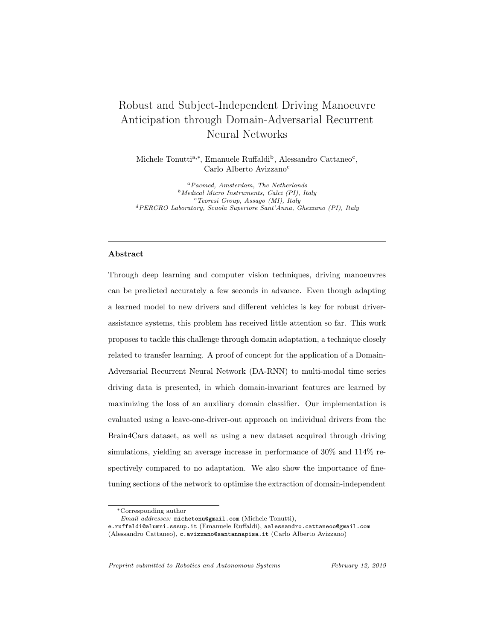- [40] B. Gong, Y. Shi, F. Sha, K. Grauman, Geodesic flow kernel for unsupervised domain adaptation, in: IEEE CVPR, 2012, pp. 2066–2073. [doi:10.1109/](http://dx.doi.org/10.1109/CVPR.2012.6247911) [CVPR.2012.6247911](http://dx.doi.org/10.1109/CVPR.2012.6247911).
- [41] B. Fernando, A. Habrard, M. Sebban, T. Tuytelaars, Unsupervised visual domain adaptation using subspace alignment, in: IEEE ICCV, 2013, pp. 2960–2967. [doi:10.1109/ICCV.2013.368](http://dx.doi.org/10.1109/ICCV.2013.368).
- [42] G. Foster, C. Goutte, R. Kuhn, Discriminative instance weighting for domain adaptation in statistical machine translation, in: Proc. of Empirical Methods in Natural Language Processing, 2010, pp. 451–459.
- [43] Y. Watanabe, K. Hashimoto, Y. Tsuruoka, Domain Adaptation for Neural Networks by Parameter Augmentation[arXiv:1607.00410]( http://arxiv.org/abs/1607.00410).
- [44] M. Baktashmotlagh, M. T. Harandi, B. C. Lovell, M. Salzmann, Unsupervised domain adaptation by domain invariant projection, in: IEEE ICCV, 2013, pp. 769–776. [doi:10.1109/ICCV.2013.100](http://dx.doi.org/10.1109/ICCV.2013.100).
- [45] J. Jiang, C. Zhai, Instance Weighting for Domain Adaptation in NLP, Proceedings of the 45th Annual Meeting of the Association of Computational Linguistics (October) (2007) 264–271. [doi:10.1145/1273496.1273558](http://dx.doi.org/10.1145/1273496.1273558).
- [46] F. Huang, A. Yates, Distributional representations for handling sparsity in supervised sequence-labeling, in: Joint ACL and AFNLP, 2009, pp. 495– 503.
- [47] R. Socher, C. Lin, Parsing natural scenes and natural language with recursive neural networks, ICML (2011) 129–136[doi:10.1007/](http://dx.doi.org/10.1007/978-3-540-87479-9) [978-3-540-87479-9](http://dx.doi.org/10.1007/978-3-540-87479-9).
- [48] M. Chen, K. Q. Weinberger, F. Sha, L. Angeles, Marginalized Denoising Autoencoders for Domain Adaptation, ICML (2012) 767–774[doi:10.1007/](http://dx.doi.org/10.1007/s11222-007-9033-z) [s11222-007-9033-z](http://dx.doi.org/10.1007/s11222-007-9033-z).
- [49] E. Tzeng, J. Hoffman, T. Darrell, K. Saenko, Simultaneous deep transfer across domains and tasks, in: IEEE ICCV, Vol. 2015 Inter, 2015, pp. 4068– 4076. [doi:10.1109/ICCV.2015.463](http://dx.doi.org/10.1109/ICCV.2015.463).
- [50] Y. Yang, J. Eisenstein, Unsupervised Domain Adaptation with Feature Embeddings[arXiv:1412.4385]( http://arxiv.org/abs/1412.4385).
- [51] M. Long, J. Wang, Y. Cao, J. Sun, P. S. Yu, Deep learning of transferable representation for scalable domain adaptation, IEEE KDE 28 (8) (2016) 2027–2040. [doi:10.1109/TKDE.2016.2554549](http://dx.doi.org/10.1109/TKDE.2016.2554549).
- [52] I. Goodfellow, Y. Bengio, A. Courville, Deep Learning, MIT Press, 2016.
- [53] R. Jozefowicz, Z. Wojciech, I. Sutskever, An Empirical Exploration of Recurrent Network Architectures, in: ICML, Vol. 37, 2015, pp. 2342–2350.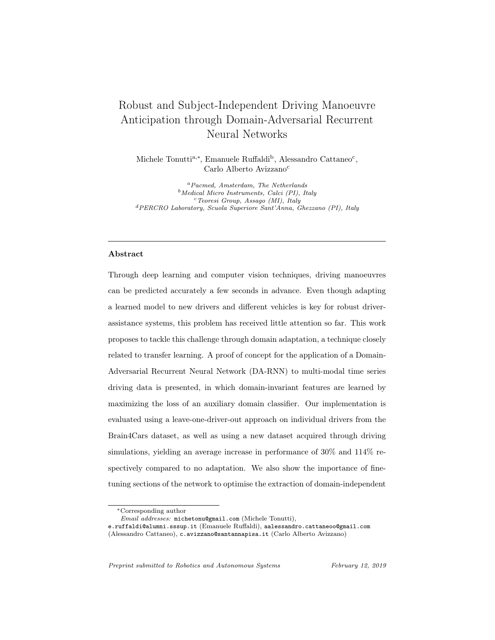- [54] K. Cho, B. van Merrienboer, C. Gulcehre, D. Bahdanau, F. Bougares, H. Schwenk, Y. Bengio, Learning Phrase Representations using RNN Encoder-Decoder for Statistical Machine TranslationarXi v: 1406.1078.
- [55] J. Chung, C. Gulcehre, K. Cho, Y. Bengio, Gated feedback recurrent neural networks, ICML 37 (2015) 2067-2075. doi: 10.1145/2661829.2661935.
- [56] S. Xiao, J. Yan, M. Farajtabar, L. Song, X. Yang, H. Zha, Joint Modeling of Event Sequence and Time Series with Attentional Twin Recurrent Neural Networks[arXiv:1703.08524]( http://arxiv.org/abs/1703.08524).
- [57] Y. Gal, Z. Ghahramani, A Theoretically Grounded Application of Dropout in Recurrent Neural Networks Yarin[arXiv:1512.05287v5]( http://arxiv.org/abs/1512.05287v5).
- [58] T. Bluche, C. Kermorvant, J. Louradour, Where to apply dropout in recurrent neural networks for handwriting recognition?, ICDAR 2015-Novem (c) (2015) 681–685. [doi:10.1109/ICDAR.2015.7333848](http://dx.doi.org/10.1109/ICDAR.2015.7333848).
- [59] D. P. Kingma, J. Ba, Adam: A Method for Stochastic Optimization (2014) 1–15[arXiv:1412.6980]( http://arxiv.org/abs/1412.6980).
- [60] S. Ruder, An overview of gradient descent optimization algorithms (2016) 1–14[arXiv:1609.04747]( http://arxiv.org/abs/1609.04747).
- [61] W. Wang, J. Xi, X. Li, Statistical Pattern Recognition for Driving Styles Based on Bayesian Probability and Kernel Density Estimation (2016) 1–10.
- [62] M. Bergamasco, S. Perotti, et al., Fork-lift truck simulator for training in industrial environment, IEEE ETFA (2005) 689–693.
- [63] Y. Hwang, D. Yoon, H. S. Kim, K.-H. Kim, A validation study on a subjective driving workload prediction tool, IEEE Transactions on Intelligent Transportation Systems 15 (4) (2014) 1835–1843. [doi:0.1109/TITS.2014.](http://dx.doi.org/0.1109/TITS.2014.2334664) [2334664](http://dx.doi.org/0.1109/TITS.2014.2334664).
- [64] W. Han, W. Wang, X. Li, J. Xi, Statistical-based approach for driving style recognition using bayesian probability with kernel density estimation, IET Intelligent Transport Systems 13 (1) (2019) 22–30. [doi:10.1049/iet-its.](http://dx.doi.org/10.1049/iet-its.2017.0379) [2017.0379](http://dx.doi.org/10.1049/iet-its.2017.0379).
- [65] W. Wang, J. Xi, C. Liu, X. Li, Human-centered feed-forward control of a vehicle steering system based on a driver's path-following characteristics, IEEE Transactions on Intelligent Transportation Systems 18 (6) (2017) 1440–1453. [doi:10.1109/TITS.2016.2606347](http://dx.doi.org/10.1109/TITS.2016.2606347).
- [66] O. Friard, M. Gamba, BORIS: a free, versatile open-source event-logging software for video/audio coding and live observations, Methods in Ecology and Evolution 7 (11) (2016) 1325–1330. [doi:10.1111/2041-210X.12584](http://dx.doi.org/10.1111/2041-210X.12584).